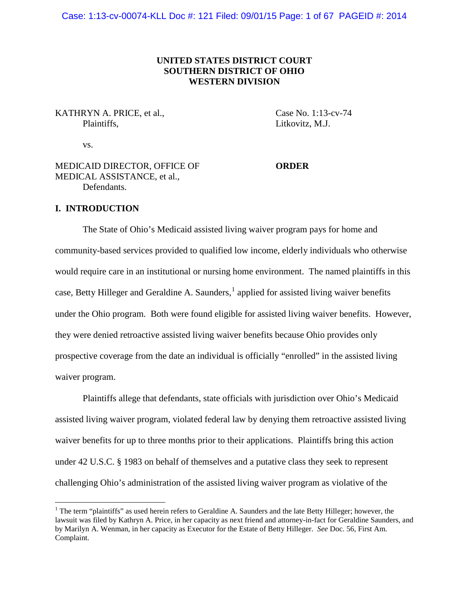# **UNITED STATES DISTRICT COURT SOUTHERN DISTRICT OF OHIO WESTERN DIVISION**

KATHRYN A. PRICE, et al., Case No. 1:13-cv-74 Plaintiffs. Litkovitz, M.J.

vs.

MEDICAID DIRECTOR, OFFICE OF **ORDER** MEDICAL ASSISTANCE, et al., Defendants.

## **I. INTRODUCTION**

The State of Ohio's Medicaid assisted living waiver program pays for home and community-based services provided to qualified low income, elderly individuals who otherwise would require care in an institutional or nursing home environment. The named plaintiffs in this case, Betty Hilleger and Geraldine A. Saunders, $<sup>1</sup>$  $<sup>1</sup>$  $<sup>1</sup>$  applied for assisted living waiver benefits</sup> under the Ohio program. Both were found eligible for assisted living waiver benefits. However, they were denied retroactive assisted living waiver benefits because Ohio provides only prospective coverage from the date an individual is officially "enrolled" in the assisted living waiver program.

Plaintiffs allege that defendants, state officials with jurisdiction over Ohio's Medicaid assisted living waiver program, violated federal law by denying them retroactive assisted living waiver benefits for up to three months prior to their applications. Plaintiffs bring this action under 42 U.S.C. § 1983 on behalf of themselves and a putative class they seek to represent challenging Ohio's administration of the assisted living waiver program as violative of the

<span id="page-0-0"></span><sup>&</sup>lt;sup>1</sup> The term "plaintiffs" as used herein refers to Geraldine A. Saunders and the late Betty Hilleger; however, the lawsuit was filed by Kathryn A. Price, in her capacity as next friend and attorney-in-fact for Geraldine Saunders, and by Marilyn A. Wenman, in her capacity as Executor for the Estate of Betty Hilleger. *See* Doc. 56, First Am. Complaint.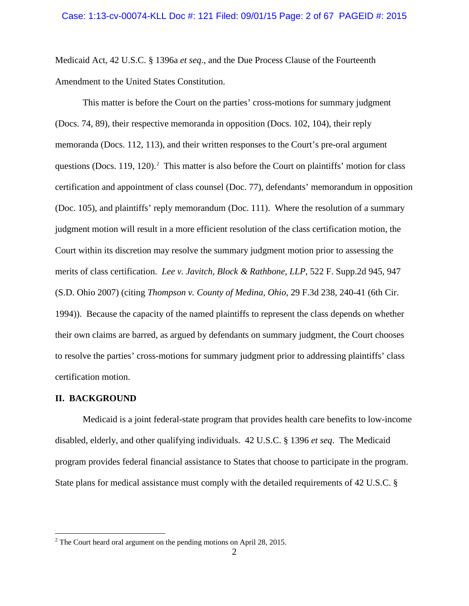Medicaid Act, 42 U.S.C. § 1396a *et seq*., and the Due Process Clause of the Fourteenth Amendment to the United States Constitution.

This matter is before the Court on the parties' cross-motions for summary judgment (Docs. 74, 89), their respective memoranda in opposition (Docs. 102, 104), their reply memoranda (Docs. 112, 113), and their written responses to the Court's pre-oral argument questions (Docs. 119, 1[2](#page-1-0)0).<sup>2</sup> This matter is also before the Court on plaintiffs' motion for class certification and appointment of class counsel (Doc. 77), defendants' memorandum in opposition (Doc. 105), and plaintiffs' reply memorandum (Doc. 111). Where the resolution of a summary judgment motion will result in a more efficient resolution of the class certification motion, the Court within its discretion may resolve the summary judgment motion prior to assessing the merits of class certification. *Lee v. Javitch, Block & Rathbone, LLP*, 522 F. Supp.2d 945, 947 (S.D. Ohio 2007) (citing *Thompson v. County of Medina, Ohio*, 29 F.3d 238, 240-41 (6th Cir. 1994)). Because the capacity of the named plaintiffs to represent the class depends on whether their own claims are barred, as argued by defendants on summary judgment, the Court chooses to resolve the parties' cross-motions for summary judgment prior to addressing plaintiffs' class certification motion.

## **II. BACKGROUND**

Medicaid is a joint federal-state program that provides health care benefits to low-income disabled, elderly, and other qualifying individuals. 42 U.S.C. § 1396 *et seq*. The Medicaid program provides federal financial assistance to States that choose to participate in the program. State plans for medical assistance must comply with the detailed requirements of 42 U.S.C. §

<span id="page-1-0"></span> $2^2$  The Court heard oral argument on the pending motions on April 28, 2015.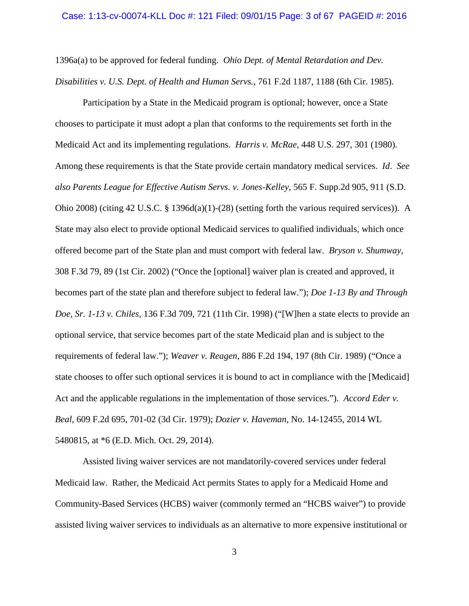#### Case: 1:13-cv-00074-KLL Doc #: 121 Filed: 09/01/15 Page: 3 of 67 PAGEID #: 2016

1396a(a) to be approved for federal funding. *Ohio Dept. of Mental Retardation and Dev. Disabilities v. U.S. Dept. of Health and Human Servs.*, 761 F.2d 1187, 1188 (6th Cir. 1985).

Participation by a State in the Medicaid program is optional; however, once a State chooses to participate it must adopt a plan that conforms to the requirements set forth in the Medicaid Act and its implementing regulations. *Harris v. McRae*, 448 U.S. 297, 301 (1980). Among these requirements is that the State provide certain mandatory medical services. *Id*. *See also Parents League for Effective Autism Servs. v. Jones-Kelley*, 565 F. Supp.2d 905, 911 (S.D. Ohio 2008) (citing 42 U.S.C. § 1396d(a)(1)-(28) (setting forth the various required services)). A State may also elect to provide optional Medicaid services to qualified individuals, which once offered become part of the State plan and must comport with federal law. *Bryson v. Shumway*, 308 F.3d 79, 89 (1st Cir. 2002) ("Once the [optional] waiver plan is created and approved, it becomes part of the state plan and therefore subject to federal law."); *Doe 1-13 By and Through Doe, Sr. 1-13 v. Chiles*, 136 F.3d 709, 721 (11th Cir. 1998) ("[W]hen a state elects to provide an optional service, that service becomes part of the state Medicaid plan and is subject to the requirements of federal law."); *Weaver v. Reagen*, 886 F.2d 194, 197 (8th Cir. 1989) ("Once a state chooses to offer such optional services it is bound to act in compliance with the [Medicaid] Act and the applicable regulations in the implementation of those services."). *Accord Eder v. Beal*, 609 F.2d 695, 701-02 (3d Cir. 1979); *Dozier v. Haveman*, No. 14-12455, 2014 WL 5480815, at \*6 (E.D. Mich. Oct. 29, 2014).

Assisted living waiver services are not mandatorily-covered services under federal Medicaid law. Rather, the Medicaid Act permits States to apply for a Medicaid Home and Community-Based Services (HCBS) waiver (commonly termed an "HCBS waiver") to provide assisted living waiver services to individuals as an alternative to more expensive institutional or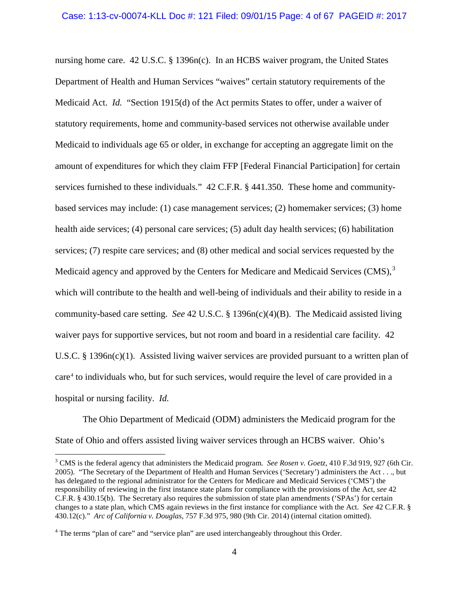nursing home care. 42 U.S.C. § 1396n(c). In an HCBS waiver program, the United States Department of Health and Human Services "waives" certain statutory requirements of the Medicaid Act. *Id.* "Section 1915(d) of the Act permits States to offer, under a waiver of statutory requirements, home and community-based services not otherwise available under Medicaid to individuals age 65 or older, in exchange for accepting an aggregate limit on the amount of expenditures for which they claim FFP [Federal Financial Participation] for certain services furnished to these individuals." 42 C.F.R. § 441.350. These home and communitybased services may include: (1) case management services; (2) homemaker services; (3) home health aide services; (4) personal care services; (5) adult day health services; (6) habilitation services; (7) respite care services; and (8) other medical and social services requested by the Medicaid agency and approved by the Centers for Medicare and Medicaid Services  $(CMS)^3$  $(CMS)^3$ which will contribute to the health and well-being of individuals and their ability to reside in a community-based care setting. *See* 42 U.S.C. § 1396n(c)(4)(B). The Medicaid assisted living waiver pays for supportive services, but not room and board in a residential care facility. 42 U.S.C. § 1396n(c)(1). Assisted living waiver services are provided pursuant to a written plan of care<sup>[4](#page-3-1)</sup> to individuals who, but for such services, would require the level of care provided in a hospital or nursing facility. *Id.*

The Ohio Department of Medicaid (ODM) administers the Medicaid program for the State of Ohio and offers assisted living waiver services through an HCBS waiver. Ohio's

<span id="page-3-0"></span> <sup>3</sup> CMS is the federal agency that administers the Medicaid program. *See Rosen v. Goetz*, 410 F.3d 919, 927 (6th Cir. 2005). "The Secretary of the Department of Health and Human Services ('Secretary') administers the Act . . ., but has delegated to the regional administrator for the Centers for Medicare and Medicaid Services ('CMS') the responsibility of reviewing in the first instance state plans for compliance with the provisions of the Act, *see* 42 C.F.R. § 430.15(b). The Secretary also requires the submission of state plan amendments ('SPAs') for certain changes to a state plan, which CMS again reviews in the first instance for compliance with the Act. *See* 42 C.F.R. § 430.12(c)." *Arc of California v. Douglas*, 757 F.3d 975, 980 (9th Cir. 2014) (internal citation omitted).

<span id="page-3-1"></span><sup>&</sup>lt;sup>4</sup> The terms "plan of care" and "service plan" are used interchangeably throughout this Order.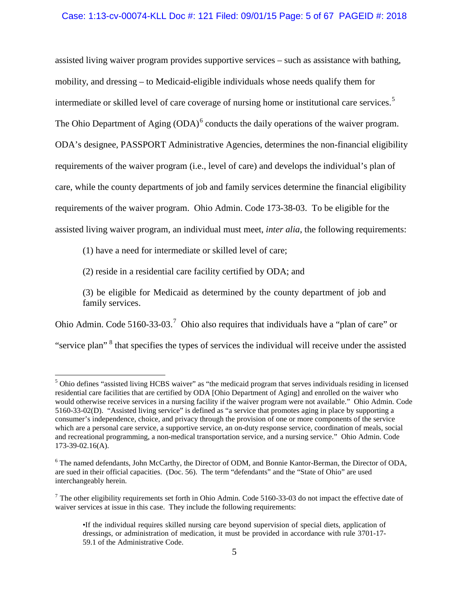## Case: 1:13-cv-00074-KLL Doc #: 121 Filed: 09/01/15 Page: 5 of 67 PAGEID #: 2018

assisted living waiver program provides supportive services – such as assistance with bathing, mobility, and dressing – to Medicaid-eligible individuals whose needs qualify them for intermediate or skilled level of care coverage of nursing home or institutional care services. [5](#page-4-0) The Ohio Department of Aging  $(ODA)^6$  $(ODA)^6$  conducts the daily operations of the waiver program. ODA's designee, PASSPORT Administrative Agencies, determines the non-financial eligibility requirements of the waiver program (i.e., level of care) and develops the individual's plan of care, while the county departments of job and family services determine the financial eligibility requirements of the waiver program. Ohio Admin. Code 173-38-03. To be eligible for the assisted living waiver program, an individual must meet, *inter alia*, the following requirements:

(1) have a need for intermediate or skilled level of care;

(2) reside in a residential care facility certified by ODA; and

(3) be eligible for Medicaid as determined by the county department of job and family services.

Ohio Admin. Code 5160-33-03.<sup>[7](#page-4-2)</sup> Ohio also requires that individuals have a "plan of care" or

"service plan"<sup>[8](#page-4-3)</sup> that specifies the types of services the individual will receive under the assisted

<span id="page-4-0"></span><sup>&</sup>lt;sup>5</sup> Ohio defines "assisted living HCBS waiver" as "the medicaid program that serves individuals residing in licensed residential care facilities that are certified by ODA [Ohio Department of Aging] and enrolled on the waiver who would otherwise receive services in a nursing facility if the waiver program were not available." Ohio Admin. Code 5160-33-02(D). "Assisted living service" is defined as "a service that promotes aging in place by supporting a consumer's independence, choice, and privacy through the provision of one or more components of the service which are a personal care service, a supportive service, an on-duty response service, coordination of meals, social and recreational programming, a non-medical transportation service, and a nursing service." Ohio Admin. Code 173-39-02.16(A).

<span id="page-4-1"></span><sup>6</sup> The named defendants, John McCarthy, the Director of ODM, and Bonnie Kantor-Berman, the Director of ODA, are sued in their official capacities. (Doc. 56). The term "defendants" and the "State of Ohio" are used interchangeably herein.

<span id="page-4-3"></span><span id="page-4-2"></span> $<sup>7</sup>$  The other eligibility requirements set forth in Ohio Admin. Code 5160-33-03 do not impact the effective date of</sup> waiver services at issue in this case. They include the following requirements:

<sup>•</sup>If the individual requires skilled nursing care beyond supervision of special diets, application of dressings, or administration of medication, it must be provided in accordance with rule 3701-17- 59.1 of the Administrative Code.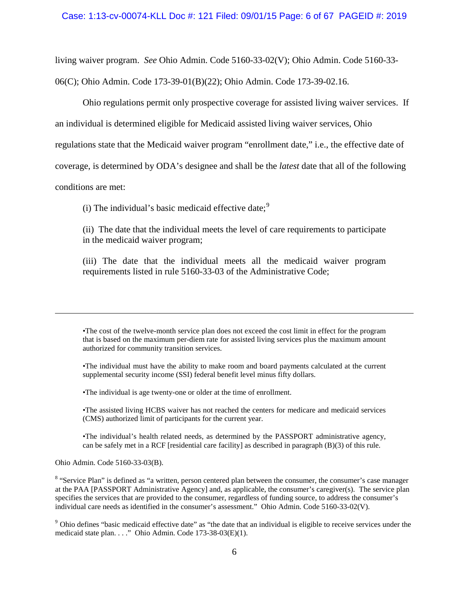#### Case: 1:13-cv-00074-KLL Doc #: 121 Filed: 09/01/15 Page: 6 of 67 PAGEID #: 2019

living waiver program. *See* Ohio Admin. Code 5160-33-02(V); Ohio Admin. Code 5160-33-

06(C); Ohio Admin. Code 173-39-01(B)(22); Ohio Admin. Code 173-39-02.16.

Ohio regulations permit only prospective coverage for assisted living waiver services. If

an individual is determined eligible for Medicaid assisted living waiver services, Ohio

regulations state that the Medicaid waiver program "enrollment date," i.e., the effective date of

coverage, is determined by ODA's designee and shall be the *latest* date that all of the following

conditions are met:

 $\overline{a}$ 

(i) The individual's basic medicaid effective date; $\frac{9}{2}$  $\frac{9}{2}$  $\frac{9}{2}$ 

(ii) The date that the individual meets the level of care requirements to participate in the medicaid waiver program;

(iii) The date that the individual meets all the medicaid waiver program requirements listed in rule 5160-33-03 of the Administrative Code;

•The cost of the twelve-month service plan does not exceed the cost limit in effect for the program that is based on the maximum per-diem rate for assisted living services plus the maximum amount authorized for community transition services.

•The individual must have the ability to make room and board payments calculated at the current supplemental security income (SSI) federal benefit level minus fifty dollars.

•The individual is age twenty-one or older at the time of enrollment.

•The assisted living HCBS waiver has not reached the centers for medicare and medicaid services (CMS) authorized limit of participants for the current year.

•The individual's health related needs, as determined by the PASSPORT administrative agency, can be safely met in a RCF [residential care facility] as described in paragraph (B)(3) of this rule.

Ohio Admin. Code 5160-33-03(B).

<sup>8</sup> "Service Plan" is defined as "a written, person centered plan between the consumer, the consumer's case manager at the PAA [PASSPORT Administrative Agency] and, as applicable, the consumer's caregiver(s). The service plan specifies the services that are provided to the consumer, regardless of funding source, to address the consumer's individual care needs as identified in the consumer's assessment." Ohio Admin. Code 5160-33-02(V).

<span id="page-5-0"></span><sup>9</sup> Ohio defines "basic medicaid effective date" as "the date that an individual is eligible to receive services under the medicaid state plan. . . ." Ohio Admin. Code 173-38-03(E)(1).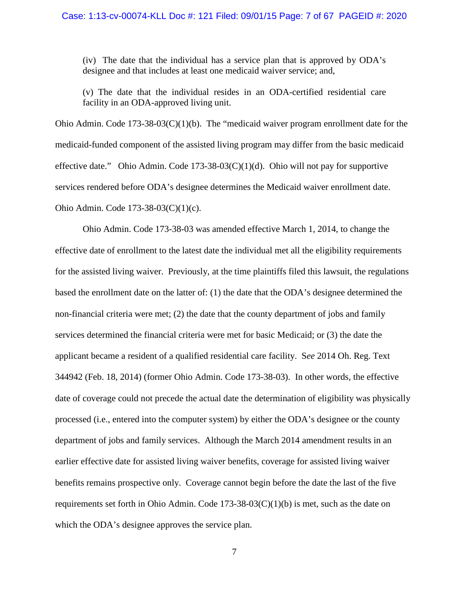(iv) The date that the individual has a service plan that is approved by ODA's designee and that includes at least one medicaid waiver service; and,

(v) The date that the individual resides in an ODA-certified residential care facility in an ODA-approved living unit.

Ohio Admin. Code  $173-38-03(C)(1)(b)$ . The "medicaid waiver program enrollment date for the medicaid-funded component of the assisted living program may differ from the basic medicaid effective date." Ohio Admin. Code  $173-38-03(C)(1)(d)$ . Ohio will not pay for supportive services rendered before ODA's designee determines the Medicaid waiver enrollment date. Ohio Admin. Code 173-38-03(C)(1)(c).

Ohio Admin. Code 173-38-03 was amended effective March 1, 2014, to change the effective date of enrollment to the latest date the individual met all the eligibility requirements for the assisted living waiver. Previously, at the time plaintiffs filed this lawsuit, the regulations based the enrollment date on the latter of: (1) the date that the ODA's designee determined the non-financial criteria were met; (2) the date that the county department of jobs and family services determined the financial criteria were met for basic Medicaid; or (3) the date the applicant became a resident of a qualified residential care facility. S*ee* 2014 Oh. Reg. Text 344942 (Feb. 18, 2014) (former Ohio Admin. Code 173-38-03). In other words, the effective date of coverage could not precede the actual date the determination of eligibility was physically processed (i.e., entered into the computer system) by either the ODA's designee or the county department of jobs and family services. Although the March 2014 amendment results in an earlier effective date for assisted living waiver benefits, coverage for assisted living waiver benefits remains prospective only. Coverage cannot begin before the date the last of the five requirements set forth in Ohio Admin. Code  $173-38-03(C)(1)(b)$  is met, such as the date on which the ODA's designee approves the service plan.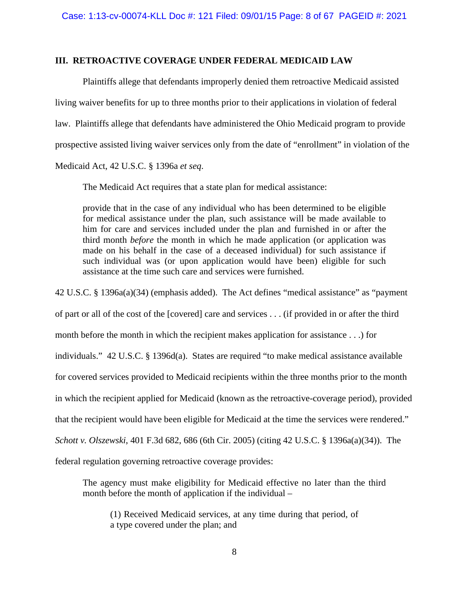# **III. RETROACTIVE COVERAGE UNDER FEDERAL MEDICAID LAW**

Plaintiffs allege that defendants improperly denied them retroactive Medicaid assisted living waiver benefits for up to three months prior to their applications in violation of federal law. Plaintiffs allege that defendants have administered the Ohio Medicaid program to provide prospective assisted living waiver services only from the date of "enrollment" in violation of the Medicaid Act, 42 U.S.C. § 1396a *et seq*.

The Medicaid Act requires that a state plan for medical assistance:

provide that in the case of any individual who has been determined to be eligible for medical assistance under the plan, such assistance will be made available to him for care and services included under the plan and furnished in or after the third month *before* the month in which he made application (or application was made on his behalf in the case of a deceased individual) for such assistance if such individual was (or upon application would have been) eligible for such assistance at the time such care and services were furnished.

42 U.S.C. § 1396a(a)(34) (emphasis added). The Act defines "medical assistance" as "payment

of part or all of the cost of the [covered] care and services . . . (if provided in or after the third

month before the month in which the recipient makes application for assistance . . .) for

individuals." 42 U.S.C. § 1396d(a). States are required "to make medical assistance available

for covered services provided to Medicaid recipients within the three months prior to the month

in which the recipient applied for Medicaid (known as the retroactive-coverage period), provided

that the recipient would have been eligible for Medicaid at the time the services were rendered."

*Schott v. Olszewski*, 401 F.3d 682, 686 (6th Cir. 2005) (citing 42 U.S.C. § 1396a(a)(34)). The

federal regulation governing retroactive coverage provides:

The agency must make eligibility for Medicaid effective no later than the third month before the month of application if the individual –

(1) Received Medicaid services, at any time during that period, of a type covered under the plan; and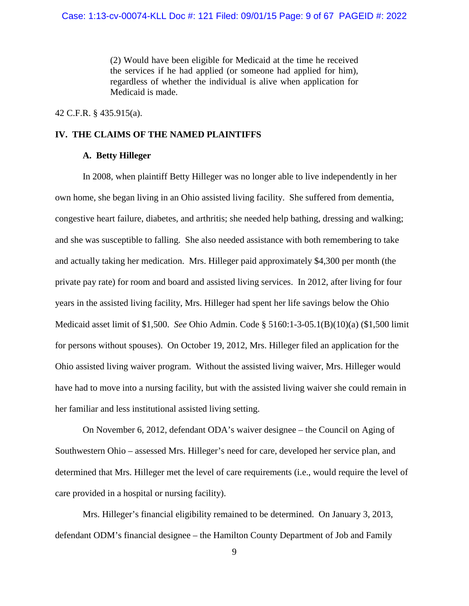(2) Would have been eligible for Medicaid at the time he received the services if he had applied (or someone had applied for him), regardless of whether the individual is alive when application for Medicaid is made.

42 C.F.R. § 435.915(a).

# **IV. THE CLAIMS OF THE NAMED PLAINTIFFS**

# **A. Betty Hilleger**

In 2008, when plaintiff Betty Hilleger was no longer able to live independently in her own home, she began living in an Ohio assisted living facility. She suffered from dementia, congestive heart failure, diabetes, and arthritis; she needed help bathing, dressing and walking; and she was susceptible to falling. She also needed assistance with both remembering to take and actually taking her medication. Mrs. Hilleger paid approximately \$4,300 per month (the private pay rate) for room and board and assisted living services. In 2012, after living for four years in the assisted living facility, Mrs. Hilleger had spent her life savings below the Ohio Medicaid asset limit of \$1,500. *See* Ohio Admin. Code § 5160:1-3-05.1(B)(10)(a) (\$1,500 limit for persons without spouses). On October 19, 2012, Mrs. Hilleger filed an application for the Ohio assisted living waiver program. Without the assisted living waiver, Mrs. Hilleger would have had to move into a nursing facility, but with the assisted living waiver she could remain in her familiar and less institutional assisted living setting.

On November 6, 2012, defendant ODA's waiver designee – the Council on Aging of Southwestern Ohio – assessed Mrs. Hilleger's need for care, developed her service plan, and determined that Mrs. Hilleger met the level of care requirements (i.e., would require the level of care provided in a hospital or nursing facility).

Mrs. Hilleger's financial eligibility remained to be determined. On January 3, 2013, defendant ODM's financial designee – the Hamilton County Department of Job and Family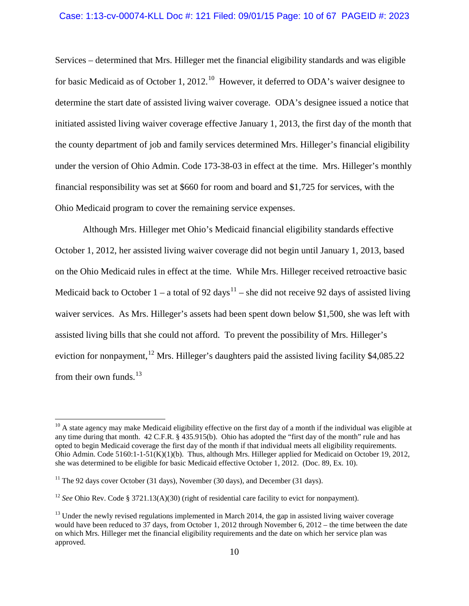# Case: 1:13-cv-00074-KLL Doc #: 121 Filed: 09/01/15 Page: 10 of 67 PAGEID #: 2023

Services – determined that Mrs. Hilleger met the financial eligibility standards and was eligible for basic Medicaid as of October 1, 2012.<sup>[10](#page-9-0)</sup> However, it deferred to ODA's waiver designee to determine the start date of assisted living waiver coverage. ODA's designee issued a notice that initiated assisted living waiver coverage effective January 1, 2013, the first day of the month that the county department of job and family services determined Mrs. Hilleger's financial eligibility under the version of Ohio Admin. Code 173-38-03 in effect at the time. Mrs. Hilleger's monthly financial responsibility was set at \$660 for room and board and \$1,725 for services, with the Ohio Medicaid program to cover the remaining service expenses.

Although Mrs. Hilleger met Ohio's Medicaid financial eligibility standards effective October 1, 2012, her assisted living waiver coverage did not begin until January 1, 2013, based on the Ohio Medicaid rules in effect at the time. While Mrs. Hilleger received retroactive basic Medicaid back to October 1 – a total of 92 days<sup>[11](#page-9-1)</sup> – she did not receive 92 days of assisted living waiver services. As Mrs. Hilleger's assets had been spent down below \$1,500, she was left with assisted living bills that she could not afford. To prevent the possibility of Mrs. Hilleger's eviction for nonpayment, <sup>[12](#page-9-2)</sup> Mrs. Hilleger's daughters paid the assisted living facility \$4,085.22 from their own funds. $^{13}$  $^{13}$  $^{13}$ 

<span id="page-9-0"></span> $10$  A state agency may make Medicaid eligibility effective on the first day of a month if the individual was eligible at any time during that month. 42 C.F.R. § 435.915(b). Ohio has adopted the "first day of the month" rule and has opted to begin Medicaid coverage the first day of the month if that individual meets all eligibility requirements. Ohio Admin. Code 5160:1-1-51(K)(1)(b). Thus, although Mrs. Hilleger applied for Medicaid on October 19, 2012, she was determined to be eligible for basic Medicaid effective October 1, 2012. (Doc. 89, Ex. 10).

<span id="page-9-1"></span> $11$  The 92 days cover October (31 days), November (30 days), and December (31 days).

<span id="page-9-2"></span><sup>&</sup>lt;sup>12</sup> *See* Ohio Rev. Code § 3721.13(A)(30) (right of residential care facility to evict for nonpayment).

<span id="page-9-3"></span> $<sup>13</sup>$  Under the newly revised regulations implemented in March 2014, the gap in assisted living waiver coverage</sup> would have been reduced to 37 days, from October 1, 2012 through November 6, 2012 – the time between the date on which Mrs. Hilleger met the financial eligibility requirements and the date on which her service plan was approved.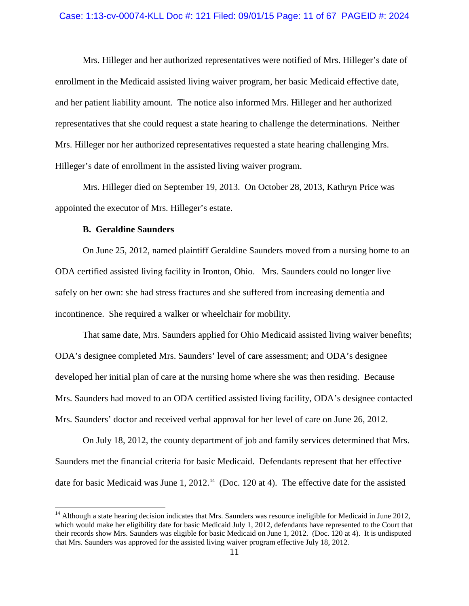Mrs. Hilleger and her authorized representatives were notified of Mrs. Hilleger's date of enrollment in the Medicaid assisted living waiver program, her basic Medicaid effective date, and her patient liability amount. The notice also informed Mrs. Hilleger and her authorized representatives that she could request a state hearing to challenge the determinations. Neither Mrs. Hilleger nor her authorized representatives requested a state hearing challenging Mrs. Hilleger's date of enrollment in the assisted living waiver program.

Mrs. Hilleger died on September 19, 2013. On October 28, 2013, Kathryn Price was appointed the executor of Mrs. Hilleger's estate.

## **B. Geraldine Saunders**

On June 25, 2012, named plaintiff Geraldine Saunders moved from a nursing home to an ODA certified assisted living facility in Ironton, Ohio. Mrs. Saunders could no longer live safely on her own: she had stress fractures and she suffered from increasing dementia and incontinence. She required a walker or wheelchair for mobility.

That same date, Mrs. Saunders applied for Ohio Medicaid assisted living waiver benefits; ODA's designee completed Mrs. Saunders' level of care assessment; and ODA's designee developed her initial plan of care at the nursing home where she was then residing. Because Mrs. Saunders had moved to an ODA certified assisted living facility, ODA's designee contacted Mrs. Saunders' doctor and received verbal approval for her level of care on June 26, 2012.

On July 18, 2012, the county department of job and family services determined that Mrs. Saunders met the financial criteria for basic Medicaid. Defendants represent that her effective date for basic Medicaid was June 1, 2012.<sup>14</sup> (Doc. 120 at 4). The effective date for the assisted

<span id="page-10-0"></span> $14$  Although a state hearing decision indicates that Mrs. Saunders was resource ineligible for Medicaid in June 2012, which would make her eligibility date for basic Medicaid July 1, 2012, defendants have represented to the Court that their records show Mrs. Saunders was eligible for basic Medicaid on June 1, 2012. (Doc. 120 at 4). It is undisputed that Mrs. Saunders was approved for the assisted living waiver program effective July 18, 2012.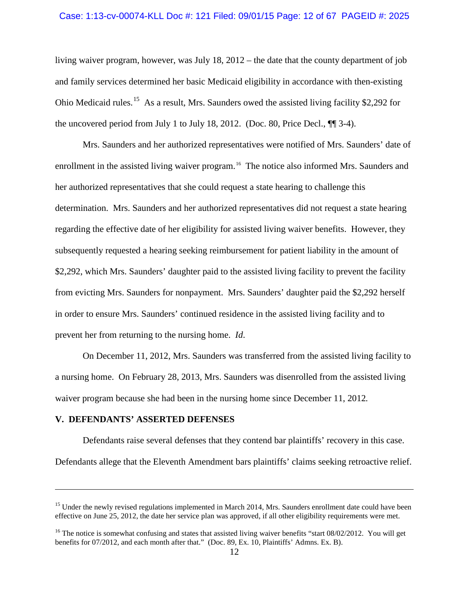## Case: 1:13-cv-00074-KLL Doc #: 121 Filed: 09/01/15 Page: 12 of 67 PAGEID #: 2025

living waiver program, however, was July 18, 2012 – the date that the county department of job and family services determined her basic Medicaid eligibility in accordance with then-existing Ohio Medicaid rules.<sup>[15](#page-11-0)</sup> As a result, Mrs. Saunders owed the assisted living facility \$2,292 for the uncovered period from July 1 to July 18, 2012. (Doc. 80, Price Decl.,  $\P$  3-4).

Mrs. Saunders and her authorized representatives were notified of Mrs. Saunders' date of enrollment in the assisted living waiver program.<sup>16</sup> The notice also informed Mrs. Saunders and her authorized representatives that she could request a state hearing to challenge this determination. Mrs. Saunders and her authorized representatives did not request a state hearing regarding the effective date of her eligibility for assisted living waiver benefits. However, they subsequently requested a hearing seeking reimbursement for patient liability in the amount of \$2,292, which Mrs. Saunders' daughter paid to the assisted living facility to prevent the facility from evicting Mrs. Saunders for nonpayment. Mrs. Saunders' daughter paid the \$2,292 herself in order to ensure Mrs. Saunders' continued residence in the assisted living facility and to prevent her from returning to the nursing home. *Id*.

On December 11, 2012, Mrs. Saunders was transferred from the assisted living facility to a nursing home. On February 28, 2013, Mrs. Saunders was disenrolled from the assisted living waiver program because she had been in the nursing home since December 11, 2012*.* 

## **V. DEFENDANTS' ASSERTED DEFENSES**

 $\overline{a}$ 

Defendants raise several defenses that they contend bar plaintiffs' recovery in this case.

Defendants allege that the Eleventh Amendment bars plaintiffs' claims seeking retroactive relief.

<span id="page-11-0"></span><sup>&</sup>lt;sup>15</sup> Under the newly revised regulations implemented in March 2014, Mrs. Saunders enrollment date could have been effective on June 25, 2012, the date her service plan was approved, if all other eligibility requirements were met.

<span id="page-11-1"></span> $16$  The notice is somewhat confusing and states that assisted living waiver benefits "start 08/02/2012. You will get benefits for 07/2012, and each month after that." (Doc. 89, Ex. 10, Plaintiffs' Admns. Ex. B).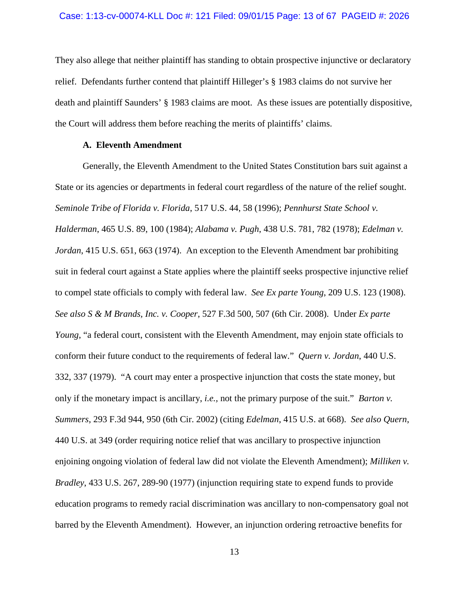They also allege that neither plaintiff has standing to obtain prospective injunctive or declaratory relief. Defendants further contend that plaintiff Hilleger's § 1983 claims do not survive her death and plaintiff Saunders' § 1983 claims are moot. As these issues are potentially dispositive, the Court will address them before reaching the merits of plaintiffs' claims.

# **A. Eleventh Amendment**

Generally, the Eleventh Amendment to the United States Constitution bars suit against a State or its agencies or departments in federal court regardless of the nature of the relief sought. *Seminole Tribe of Florida v. Florida*, 517 U.S. 44, 58 (1996); *Pennhurst State School v. Halderman*, 465 U.S. 89, 100 (1984); *Alabama v. Pugh*, 438 U.S. 781, 782 (1978); *Edelman v. Jordan*, 415 U.S. 651, 663 (1974). An exception to the Eleventh Amendment bar prohibiting suit in federal court against a State applies where the plaintiff seeks prospective injunctive relief to compel state officials to comply with federal law. *See Ex parte Young*, 209 U.S. 123 (1908). *See also S & M Brands, Inc. v. Cooper*, 527 F.3d 500, 507 (6th Cir. 2008). Under *Ex parte Young*, "a federal court, consistent with the Eleventh Amendment, may enjoin state officials to conform their future conduct to the requirements of federal law." *Quern v. Jordan*, 440 U.S. 332, 337 (1979). "A court may enter a prospective injunction that costs the state money, but only if the monetary impact is ancillary, *i.e.,* not the primary purpose of the suit." *Barton v. Summers*, 293 F.3d 944, 950 (6th Cir. 2002) (citing *Edelman*, 415 U.S. at 668). *See also Quern*, 440 U.S. at 349 (order requiring notice relief that was ancillary to prospective injunction enjoining ongoing violation of federal law did not violate the Eleventh Amendment); *Milliken v. Bradley*, 433 U.S. 267, 289-90 (1977) (injunction requiring state to expend funds to provide education programs to remedy racial discrimination was ancillary to non-compensatory goal not barred by the Eleventh Amendment). However, an injunction ordering retroactive benefits for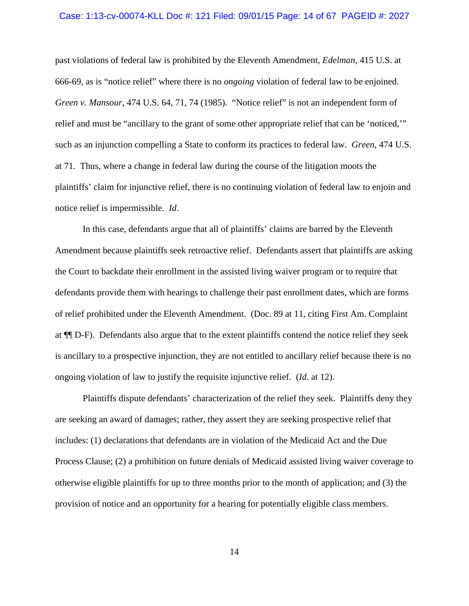#### Case: 1:13-cv-00074-KLL Doc #: 121 Filed: 09/01/15 Page: 14 of 67 PAGEID #: 2027

past violations of federal law is prohibited by the Eleventh Amendment, *Edelman*, 415 U.S. at 666-69, as is "notice relief" where there is no *ongoing* violation of federal law to be enjoined. *Green v. Mansour*, 474 U.S. 64, 71, 74 (1985). "Notice relief" is not an independent form of relief and must be "ancillary to the grant of some other appropriate relief that can be 'noticed,'" such as an injunction compelling a State to conform its practices to federal law. *Green*, 474 U.S. at 71. Thus, where a change in federal law during the course of the litigation moots the plaintiffs' claim for injunctive relief, there is no continuing violation of federal law to enjoin and notice relief is impermissible. *Id*.

In this case, defendants argue that all of plaintiffs' claims are barred by the Eleventh Amendment because plaintiffs seek retroactive relief. Defendants assert that plaintiffs are asking the Court to backdate their enrollment in the assisted living waiver program or to require that defendants provide them with hearings to challenge their past enrollment dates, which are forms of relief prohibited under the Eleventh Amendment. (Doc. 89 at 11, citing First Am. Complaint at ¶¶ D-F). Defendants also argue that to the extent plaintiffs contend the notice relief they seek is ancillary to a prospective injunction, they are not entitled to ancillary relief because there is no ongoing violation of law to justify the requisite injunctive relief. (*Id*. at 12).

Plaintiffs dispute defendants' characterization of the relief they seek. Plaintiffs deny they are seeking an award of damages; rather, they assert they are seeking prospective relief that includes: (1) declarations that defendants are in violation of the Medicaid Act and the Due Process Clause; (2) a prohibition on future denials of Medicaid assisted living waiver coverage to otherwise eligible plaintiffs for up to three months prior to the month of application; and (3) the provision of notice and an opportunity for a hearing for potentially eligible class members.

14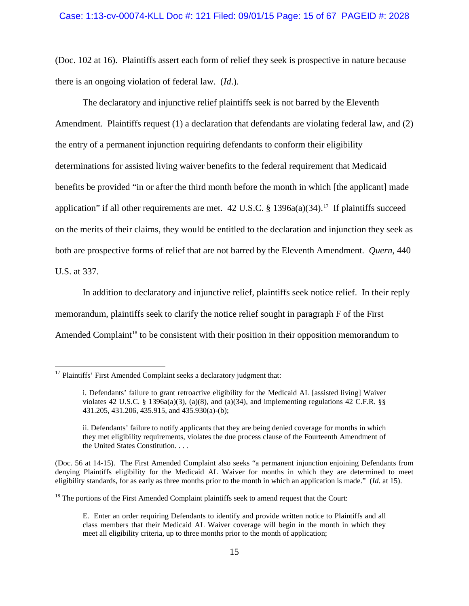## Case: 1:13-cv-00074-KLL Doc #: 121 Filed: 09/01/15 Page: 15 of 67 PAGEID #: 2028

(Doc. 102 at 16). Plaintiffs assert each form of relief they seek is prospective in nature because there is an ongoing violation of federal law. (*Id*.).

The declaratory and injunctive relief plaintiffs seek is not barred by the Eleventh Amendment. Plaintiffs request (1) a declaration that defendants are violating federal law, and (2) the entry of a permanent injunction requiring defendants to conform their eligibility determinations for assisted living waiver benefits to the federal requirement that Medicaid benefits be provided "in or after the third month before the month in which [the applicant] made application" if all other requirements are met.  $42$  U.S.C. § 1396a(a)(34).<sup>[17](#page-14-0)</sup> If plaintiffs succeed on the merits of their claims, they would be entitled to the declaration and injunction they seek as both are prospective forms of relief that are not barred by the Eleventh Amendment. *Quern*, 440 U.S. at 337.

In addition to declaratory and injunctive relief, plaintiffs seek notice relief. In their reply memorandum, plaintiffs seek to clarify the notice relief sought in paragraph F of the First Amended Complaint<sup>[18](#page-14-1)</sup> to be consistent with their position in their opposition memorandum to

<span id="page-14-0"></span> $17$  Plaintiffs' First Amended Complaint seeks a declaratory judgment that:

i. Defendants' failure to grant retroactive eligibility for the Medicaid AL [assisted living] Waiver violates 42 U.S.C. § 1396a(a)(3), (a)(8), and (a)(34), and implementing regulations 42 C.F.R. §§ 431.205, 431.206, 435.915, and 435.930(a)-(b);

ii. Defendants' failure to notify applicants that they are being denied coverage for months in which they met eligibility requirements, violates the due process clause of the Fourteenth Amendment of the United States Constitution. . . .

<sup>(</sup>Doc. 56 at 14-15). The First Amended Complaint also seeks "a permanent injunction enjoining Defendants from denying Plaintiffs eligibility for the Medicaid AL Waiver for months in which they are determined to meet eligibility standards, for as early as three months prior to the month in which an application is made." (*Id.* at 15).

<span id="page-14-1"></span> $18$  The portions of the First Amended Complaint plaintiffs seek to amend request that the Court:

E. Enter an order requiring Defendants to identify and provide written notice to Plaintiffs and all class members that their Medicaid AL Waiver coverage will begin in the month in which they meet all eligibility criteria, up to three months prior to the month of application;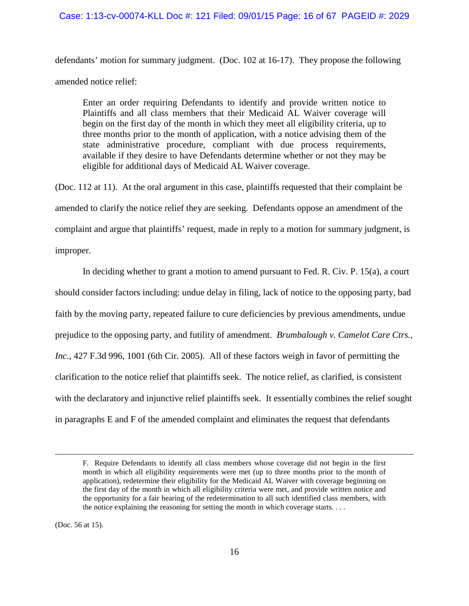## Case: 1:13-cv-00074-KLL Doc #: 121 Filed: 09/01/15 Page: 16 of 67 PAGEID #: 2029

defendants' motion for summary judgment. (Doc. 102 at 16-17). They propose the following amended notice relief:

Enter an order requiring Defendants to identify and provide written notice to Plaintiffs and all class members that their Medicaid AL Waiver coverage will begin on the first day of the month in which they meet all eligibility criteria, up to three months prior to the month of application, with a notice advising them of the state administrative procedure, compliant with due process requirements, available if they desire to have Defendants determine whether or not they may be eligible for additional days of Medicaid AL Waiver coverage.

(Doc. 112 at 11). At the oral argument in this case, plaintiffs requested that their complaint be amended to clarify the notice relief they are seeking. Defendants oppose an amendment of the complaint and argue that plaintiffs' request, made in reply to a motion for summary judgment, is improper.

In deciding whether to grant a motion to amend pursuant to Fed. R. Civ. P. 15(a), a court should consider factors including: undue delay in filing, lack of notice to the opposing party, bad faith by the moving party, repeated failure to cure deficiencies by previous amendments, undue prejudice to the opposing party, and futility of amendment. *Brumbalough v. Camelot Care Ctrs., Inc*., 427 F.3d 996, 1001 (6th Cir. 2005). All of these factors weigh in favor of permitting the clarification to the notice relief that plaintiffs seek. The notice relief, as clarified, is consistent with the declaratory and injunctive relief plaintiffs seek. It essentially combines the relief sought in paragraphs E and F of the amended complaint and eliminates the request that defendants

(Doc. 56 at 15).

 $\overline{a}$ 

F. Require Defendants to identify all class members whose coverage did not begin in the first month in which all eligibility requirements were met (up to three months prior to the month of application), redetermine their eligibility for the Medicaid AL Waiver with coverage beginning on the first day of the month in which all eligibility criteria were met, and provide written notice and the opportunity for a fair hearing of the redetermination to all such identified class members, with the notice explaining the reasoning for setting the month in which coverage starts. . . .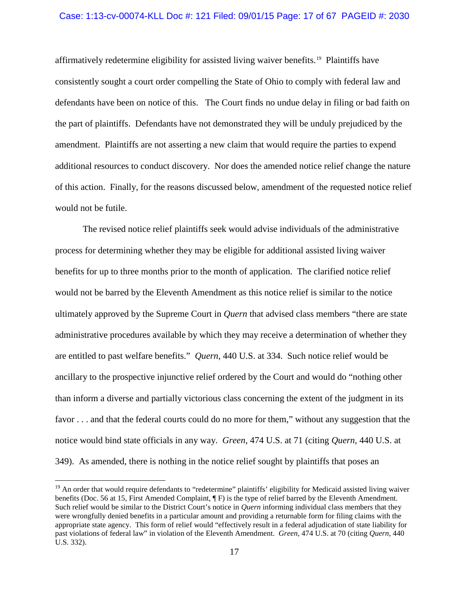## Case: 1:13-cv-00074-KLL Doc #: 121 Filed: 09/01/15 Page: 17 of 67 PAGEID #: 2030

affirmatively redetermine eligibility for assisted living waiver benefits.[19](#page-16-0) Plaintiffs have consistently sought a court order compelling the State of Ohio to comply with federal law and defendants have been on notice of this. The Court finds no undue delay in filing or bad faith on the part of plaintiffs. Defendants have not demonstrated they will be unduly prejudiced by the amendment. Plaintiffs are not asserting a new claim that would require the parties to expend additional resources to conduct discovery. Nor does the amended notice relief change the nature of this action. Finally, for the reasons discussed below, amendment of the requested notice relief would not be futile.

The revised notice relief plaintiffs seek would advise individuals of the administrative process for determining whether they may be eligible for additional assisted living waiver benefits for up to three months prior to the month of application. The clarified notice relief would not be barred by the Eleventh Amendment as this notice relief is similar to the notice ultimately approved by the Supreme Court in *Quern* that advised class members "there are state administrative procedures available by which they may receive a determination of whether they are entitled to past welfare benefits." *Quern*, 440 U.S. at 334. Such notice relief would be ancillary to the prospective injunctive relief ordered by the Court and would do "nothing other than inform a diverse and partially victorious class concerning the extent of the judgment in its favor . . . and that the federal courts could do no more for them," without any suggestion that the notice would bind state officials in any way. *Green*, 474 U.S. at 71 (citing *Quern*, 440 U.S. at 349). As amended, there is nothing in the notice relief sought by plaintiffs that poses an

<span id="page-16-0"></span><sup>&</sup>lt;sup>19</sup> An order that would require defendants to "redetermine" plaintiffs' eligibility for Medicaid assisted living waiver benefits (Doc. 56 at 15, First Amended Complaint,  $\P$ F) is the type of relief barred by the Eleventh Amendment. Such relief would be similar to the District Court's notice in *Quern* informing individual class members that they were wrongfully denied benefits in a particular amount and providing a returnable form for filing claims with the appropriate state agency. This form of relief would "effectively result in a federal adjudication of state liability for past violations of federal law" in violation of the Eleventh Amendment. *Green*, 474 U.S. at 70 (citing *Quern*, 440 U.S. 332).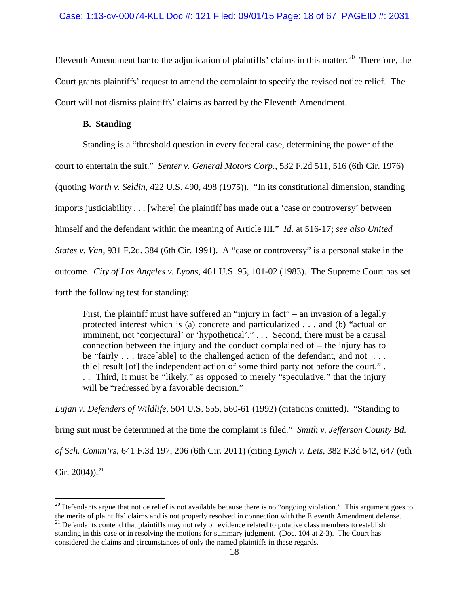Eleventh Amendment bar to the adjudication of plaintiffs' claims in this matter.<sup>[20](#page-17-0)</sup> Therefore, the Court grants plaintiffs' request to amend the complaint to specify the revised notice relief. The Court will not dismiss plaintiffs' claims as barred by the Eleventh Amendment.

# **B. Standing**

Standing is a "threshold question in every federal case, determining the power of the court to entertain the suit." *Senter v. General Motors Corp.*, 532 F.2d 511, 516 (6th Cir. 1976) (quoting *Warth v. Seldin*, 422 U.S. 490, 498 (1975)). "In its constitutional dimension, standing imports justiciability . . . [where] the plaintiff has made out a 'case or controversy' between himself and the defendant within the meaning of Article III." *Id*. at 516-17; *see also United States v. Van*, 931 F.2d. 384 (6th Cir. 1991). A "case or controversy" is a personal stake in the outcome. *City of Los Angeles v. Lyons*, 461 U.S. 95, 101-02 (1983). The Supreme Court has set forth the following test for standing:

First, the plaintiff must have suffered an "injury in fact" – an invasion of a legally protected interest which is (a) concrete and particularized . . . and (b) "actual or imminent, not 'conjectural' or 'hypothetical'." . . . Second, there must be a causal connection between the injury and the conduct complained of – the injury has to be "fairly . . . trace [able] to the challenged action of the defendant, and not . . . th[e] result [of] the independent action of some third party not before the court." . . . Third, it must be "likely," as opposed to merely "speculative," that the injury will be "redressed by a favorable decision."

*Lujan v. Defenders of Wildlife*, 504 U.S. 555, 560-61 (1992) (citations omitted). "Standing to bring suit must be determined at the time the complaint is filed." *Smith v. Jefferson County Bd. of Sch. Comm'rs*, 641 F.3d 197, 206 (6th Cir. 2011) (citing *Lynch v. Leis*, 382 F.3d 642, 647 (6th Cir. 2004)).<sup>[21](#page-17-1)</sup>

<span id="page-17-0"></span> $20$  Defendants argue that notice relief is not available because there is no "ongoing violation." This argument goes to the merits of plaintiffs' claims and is not properly resolved in connection with the Eleventh Amendment defense. 21 Defendants contend that plaintiffs may not rely on evidence related to putative class members to establish

<span id="page-17-1"></span>standing in this case or in resolving the motions for summary judgment. (Doc. 104 at 2-3). The Court has considered the claims and circumstances of only the named plaintiffs in these regards.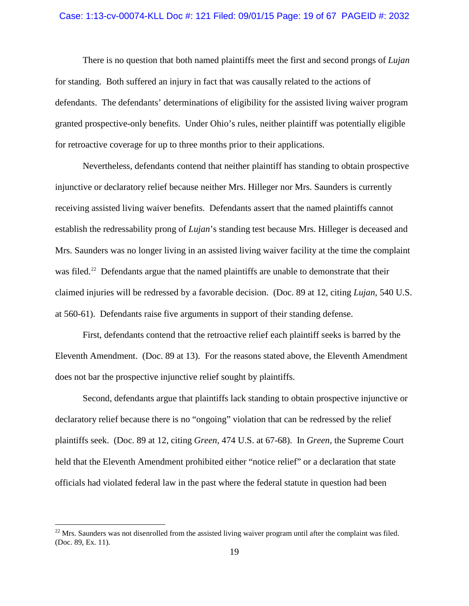#### Case: 1:13-cv-00074-KLL Doc #: 121 Filed: 09/01/15 Page: 19 of 67 PAGEID #: 2032

There is no question that both named plaintiffs meet the first and second prongs of *Lujan* for standing. Both suffered an injury in fact that was causally related to the actions of defendants. The defendants' determinations of eligibility for the assisted living waiver program granted prospective-only benefits. Under Ohio's rules, neither plaintiff was potentially eligible for retroactive coverage for up to three months prior to their applications.

Nevertheless, defendants contend that neither plaintiff has standing to obtain prospective injunctive or declaratory relief because neither Mrs. Hilleger nor Mrs. Saunders is currently receiving assisted living waiver benefits. Defendants assert that the named plaintiffs cannot establish the redressability prong of *Lujan*'s standing test because Mrs. Hilleger is deceased and Mrs. Saunders was no longer living in an assisted living waiver facility at the time the complaint was filed.<sup>22</sup> Defendants argue that the named plaintiffs are unable to demonstrate that their claimed injuries will be redressed by a favorable decision. (Doc. 89 at 12, citing *Lujan*, 540 U.S. at 560-61). Defendants raise five arguments in support of their standing defense.

First, defendants contend that the retroactive relief each plaintiff seeks is barred by the Eleventh Amendment. (Doc. 89 at 13).For the reasons stated above, the Eleventh Amendment does not bar the prospective injunctive relief sought by plaintiffs.

Second, defendants argue that plaintiffs lack standing to obtain prospective injunctive or declaratory relief because there is no "ongoing" violation that can be redressed by the relief plaintiffs seek. (Doc. 89 at 12, citing *Green*, 474 U.S. at 67-68). In *Green*, the Supreme Court held that the Eleventh Amendment prohibited either "notice relief" or a declaration that state officials had violated federal law in the past where the federal statute in question had been

<span id="page-18-0"></span> $^{22}$  Mrs. Saunders was not disenrolled from the assisted living waiver program until after the complaint was filed. (Doc. 89, Ex. 11).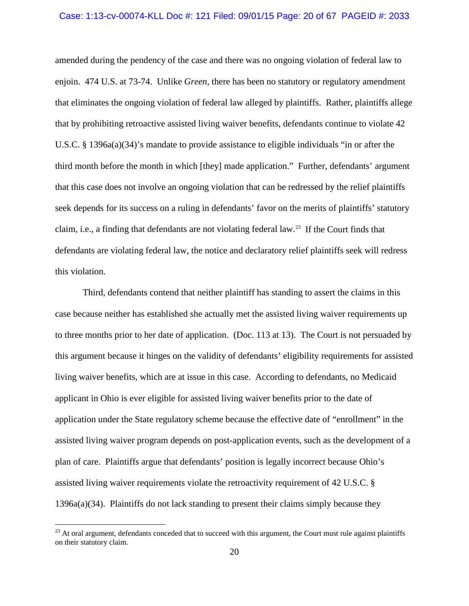#### Case: 1:13-cv-00074-KLL Doc #: 121 Filed: 09/01/15 Page: 20 of 67 PAGEID #: 2033

amended during the pendency of the case and there was no ongoing violation of federal law to enjoin. 474 U.S. at 73-74. Unlike *Green*, there has been no statutory or regulatory amendment that eliminates the ongoing violation of federal law alleged by plaintiffs. Rather, plaintiffs allege that by prohibiting retroactive assisted living waiver benefits, defendants continue to violate 42 U.S.C. § 1396a(a)(34)'s mandate to provide assistance to eligible individuals "in or after the third month before the month in which [they] made application." Further, defendants' argument that this case does not involve an ongoing violation that can be redressed by the relief plaintiffs seek depends for its success on a ruling in defendants' favor on the merits of plaintiffs' statutory claim, i.e., a finding that defendants are not violating federal law.[23](#page-19-0) If the Court finds that defendants are violating federal law, the notice and declaratory relief plaintiffs seek will redress this violation.

Third, defendants contend that neither plaintiff has standing to assert the claims in this case because neither has established she actually met the assisted living waiver requirements up to three months prior to her date of application. (Doc. 113 at 13). The Court is not persuaded by this argument because it hinges on the validity of defendants' eligibility requirements for assisted living waiver benefits, which are at issue in this case. According to defendants, no Medicaid applicant in Ohio is ever eligible for assisted living waiver benefits prior to the date of application under the State regulatory scheme because the effective date of "enrollment" in the assisted living waiver program depends on post-application events, such as the development of a plan of care. Plaintiffs argue that defendants' position is legally incorrect because Ohio's assisted living waiver requirements violate the retroactivity requirement of 42 U.S.C. § 1396a(a)(34). Plaintiffs do not lack standing to present their claims simply because they

<span id="page-19-0"></span> $23$  At oral argument, defendants conceded that to succeed with this argument, the Court must rule against plaintiffs on their statutory claim.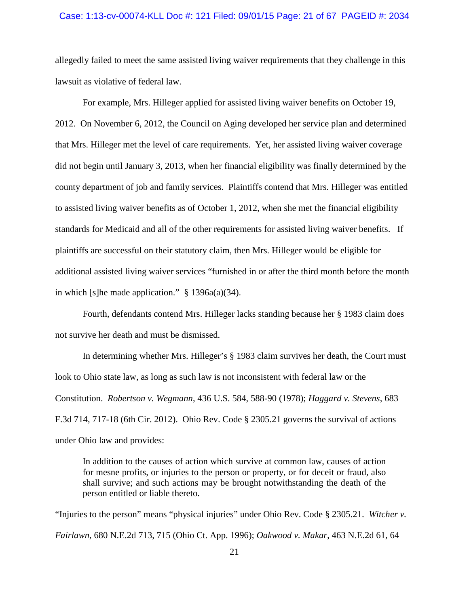#### Case: 1:13-cv-00074-KLL Doc #: 121 Filed: 09/01/15 Page: 21 of 67 PAGEID #: 2034

allegedly failed to meet the same assisted living waiver requirements that they challenge in this lawsuit as violative of federal law.

For example, Mrs. Hilleger applied for assisted living waiver benefits on October 19, 2012. On November 6, 2012, the Council on Aging developed her service plan and determined that Mrs. Hilleger met the level of care requirements. Yet, her assisted living waiver coverage did not begin until January 3, 2013, when her financial eligibility was finally determined by the county department of job and family services. Plaintiffs contend that Mrs. Hilleger was entitled to assisted living waiver benefits as of October 1, 2012, when she met the financial eligibility standards for Medicaid and all of the other requirements for assisted living waiver benefits. If plaintiffs are successful on their statutory claim, then Mrs. Hilleger would be eligible for additional assisted living waiver services "furnished in or after the third month before the month in which [s]he made application." § 1396a(a)(34).

Fourth, defendants contend Mrs. Hilleger lacks standing because her § 1983 claim does not survive her death and must be dismissed.

In determining whether Mrs. Hilleger's § 1983 claim survives her death, the Court must look to Ohio state law, as long as such law is not inconsistent with federal law or the Constitution. *Robertson v. Wegmann*, 436 U.S. 584, 588-90 (1978); *Haggard v. Stevens*, 683 F.3d 714, 717-18 (6th Cir. 2012). Ohio Rev. Code § 2305.21 governs the survival of actions under Ohio law and provides:

In addition to the causes of action which survive at common law, causes of action for mesne profits, or injuries to the person or property, or for deceit or fraud, also shall survive; and such actions may be brought notwithstanding the death of the person entitled or liable thereto.

"Injuries to the person" means "physical injuries" under Ohio Rev. Code § 2305.21. *Witcher v. Fairlawn*, 680 N.E.2d 713, 715 (Ohio Ct. App. 1996); *Oakwood v. Makar*, 463 N.E.2d 61, 64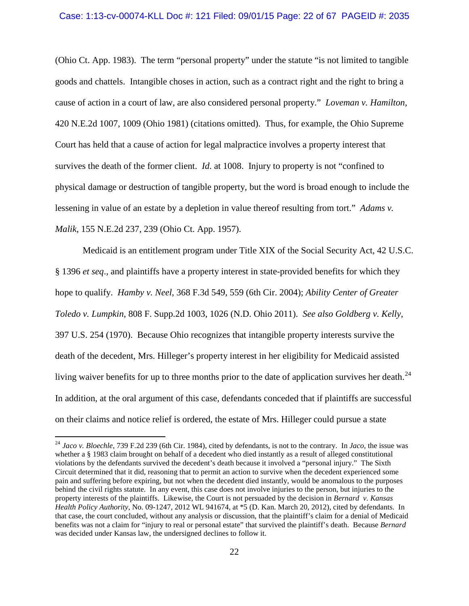## Case: 1:13-cv-00074-KLL Doc #: 121 Filed: 09/01/15 Page: 22 of 67 PAGEID #: 2035

(Ohio Ct. App. 1983). The term "personal property" under the statute "is not limited to tangible goods and chattels. Intangible choses in action, such as a contract right and the right to bring a cause of action in a court of law, are also considered personal property." *Loveman v. Hamilton*, 420 N.E.2d 1007, 1009 (Ohio 1981) (citations omitted). Thus, for example, the Ohio Supreme Court has held that a cause of action for legal malpractice involves a property interest that survives the death of the former client. *Id*. at 1008. Injury to property is not "confined to physical damage or destruction of tangible property, but the word is broad enough to include the lessening in value of an estate by a depletion in value thereof resulting from tort." *Adams v. Malik*, 155 N.E.2d 237, 239 (Ohio Ct. App. 1957).

Medicaid is an entitlement program under Title XIX of the Social Security Act, 42 U.S.C. § 1396 *et seq*., and plaintiffs have a property interest in state-provided benefits for which they hope to qualify. *Hamby v. Neel*, 368 F.3d 549, 559 (6th Cir. 2004); *Ability Center of Greater Toledo v. Lumpkin*, 808 F. Supp.2d 1003, 1026 (N.D. Ohio 2011). *See also Goldberg v. Kelly*, 397 U.S. 254 (1970). Because Ohio recognizes that intangible property interests survive the death of the decedent, Mrs. Hilleger's property interest in her eligibility for Medicaid assisted living waiver benefits for up to three months prior to the date of application survives her death.<sup>[24](#page-21-0)</sup> In addition, at the oral argument of this case, defendants conceded that if plaintiffs are successful on their claims and notice relief is ordered, the estate of Mrs. Hilleger could pursue a state

<span id="page-21-0"></span> <sup>24</sup> *Jaco v. Bloechle*, 739 F.2d 239 (6th Cir. 1984), cited by defendants, is not to the contrary. In *Jaco*, the issue was whether a § 1983 claim brought on behalf of a decedent who died instantly as a result of alleged constitutional violations by the defendants survived the decedent's death because it involved a "personal injury." The Sixth Circuit determined that it did, reasoning that to permit an action to survive when the decedent experienced some pain and suffering before expiring, but not when the decedent died instantly, would be anomalous to the purposes behind the civil rights statute. In any event, this case does not involve injuries to the person, but injuries to the property interests of the plaintiffs. Likewise, the Court is not persuaded by the decision in *Bernard v. Kansas Health Policy Authority*, No. 09-1247, 2012 WL 941674, at \*5 (D. Kan. March 20, 2012), cited by defendants. In that case, the court concluded, without any analysis or discussion, that the plaintiff's claim for a denial of Medicaid benefits was not a claim for "injury to real or personal estate" that survived the plaintiff's death. Because *Bernard*  was decided under Kansas law, the undersigned declines to follow it.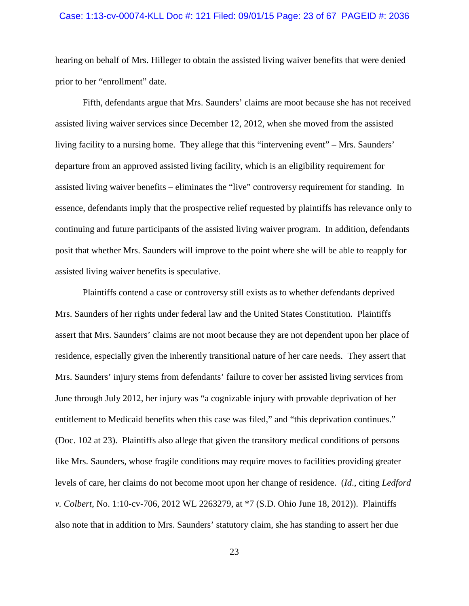#### Case: 1:13-cv-00074-KLL Doc #: 121 Filed: 09/01/15 Page: 23 of 67 PAGEID #: 2036

hearing on behalf of Mrs. Hilleger to obtain the assisted living waiver benefits that were denied prior to her "enrollment" date.

Fifth, defendants argue that Mrs. Saunders' claims are moot because she has not received assisted living waiver services since December 12, 2012, when she moved from the assisted living facility to a nursing home. They allege that this "intervening event" – Mrs. Saunders' departure from an approved assisted living facility, which is an eligibility requirement for assisted living waiver benefits – eliminates the "live" controversy requirement for standing. In essence, defendants imply that the prospective relief requested by plaintiffs has relevance only to continuing and future participants of the assisted living waiver program. In addition, defendants posit that whether Mrs. Saunders will improve to the point where she will be able to reapply for assisted living waiver benefits is speculative.

Plaintiffs contend a case or controversy still exists as to whether defendants deprived Mrs. Saunders of her rights under federal law and the United States Constitution. Plaintiffs assert that Mrs. Saunders' claims are not moot because they are not dependent upon her place of residence, especially given the inherently transitional nature of her care needs. They assert that Mrs. Saunders' injury stems from defendants' failure to cover her assisted living services from June through July 2012, her injury was "a cognizable injury with provable deprivation of her entitlement to Medicaid benefits when this case was filed," and "this deprivation continues." (Doc. 102 at 23). Plaintiffs also allege that given the transitory medical conditions of persons like Mrs. Saunders, whose fragile conditions may require moves to facilities providing greater levels of care, her claims do not become moot upon her change of residence. (*Id*., citing *Ledford v. Colbert*, No. 1:10-cv-706, 2012 WL 2263279, at \*7 (S.D. Ohio June 18, 2012)). Plaintiffs also note that in addition to Mrs. Saunders' statutory claim, she has standing to assert her due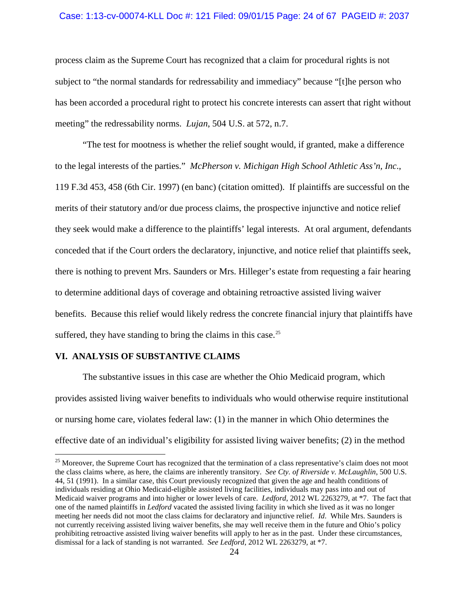## Case: 1:13-cv-00074-KLL Doc #: 121 Filed: 09/01/15 Page: 24 of 67 PAGEID #: 2037

process claim as the Supreme Court has recognized that a claim for procedural rights is not subject to "the normal standards for redressability and immediacy" because "[t]he person who has been accorded a procedural right to protect his concrete interests can assert that right without meeting" the redressability norms. *Lujan*, 504 U.S. at 572, n.7.

"The test for mootness is whether the relief sought would, if granted, make a difference to the legal interests of the parties." *McPherson v. Michigan High School Athletic Ass'n, Inc*., 119 F.3d 453, 458 (6th Cir. 1997) (en banc) (citation omitted). If plaintiffs are successful on the merits of their statutory and/or due process claims, the prospective injunctive and notice relief they seek would make a difference to the plaintiffs' legal interests. At oral argument, defendants conceded that if the Court orders the declaratory, injunctive, and notice relief that plaintiffs seek, there is nothing to prevent Mrs. Saunders or Mrs. Hilleger's estate from requesting a fair hearing to determine additional days of coverage and obtaining retroactive assisted living waiver benefits. Because this relief would likely redress the concrete financial injury that plaintiffs have suffered, they have standing to bring the claims in this case. $^{25}$  $^{25}$  $^{25}$ 

# **VI. ANALYSIS OF SUBSTANTIVE CLAIMS**

The substantive issues in this case are whether the Ohio Medicaid program, which provides assisted living waiver benefits to individuals who would otherwise require institutional or nursing home care, violates federal law: (1) in the manner in which Ohio determines the effective date of an individual's eligibility for assisted living waiver benefits; (2) in the method

<span id="page-23-0"></span><sup>&</sup>lt;sup>25</sup> Moreover, the Supreme Court has recognized that the termination of a class representative's claim does not moot the class claims where, as here, the claims are inherently transitory. *See Cty. of Riverside v. McLaughlin*, 500 U.S. 44, 51 (1991). In a similar case, this Court previously recognized that given the age and health conditions of individuals residing at Ohio Medicaid-eligible assisted living facilities, individuals may pass into and out of Medicaid waiver programs and into higher or lower levels of care. *Ledford*, 2012 WL 2263279, at \*7. The fact that one of the named plaintiffs in *Ledford* vacated the assisted living facility in which she lived as it was no longer meeting her needs did not moot the class claims for declaratory and injunctive relief. *Id*. While Mrs. Saunders is not currently receiving assisted living waiver benefits, she may well receive them in the future and Ohio's policy prohibiting retroactive assisted living waiver benefits will apply to her as in the past. Under these circumstances, dismissal for a lack of standing is not warranted. *See Ledford*, 2012 WL 2263279, at \*7.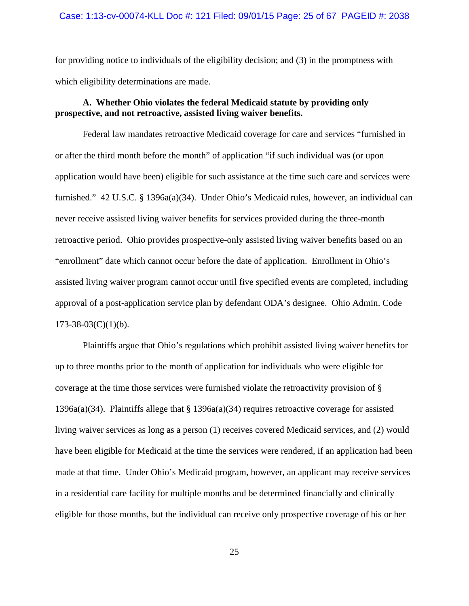## Case: 1:13-cv-00074-KLL Doc #: 121 Filed: 09/01/15 Page: 25 of 67 PAGEID #: 2038

for providing notice to individuals of the eligibility decision; and (3) in the promptness with which eligibility determinations are made.

# **A. Whether Ohio violates the federal Medicaid statute by providing only prospective, and not retroactive, assisted living waiver benefits.**

Federal law mandates retroactive Medicaid coverage for care and services "furnished in or after the third month before the month" of application "if such individual was (or upon application would have been) eligible for such assistance at the time such care and services were furnished." 42 U.S.C. § 1396a(a)(34). Under Ohio's Medicaid rules, however, an individual can never receive assisted living waiver benefits for services provided during the three-month retroactive period. Ohio provides prospective-only assisted living waiver benefits based on an "enrollment" date which cannot occur before the date of application. Enrollment in Ohio's assisted living waiver program cannot occur until five specified events are completed, including approval of a post-application service plan by defendant ODA's designee. Ohio Admin. Code  $173-38-03(C)(1)(b)$ .

Plaintiffs argue that Ohio's regulations which prohibit assisted living waiver benefits for up to three months prior to the month of application for individuals who were eligible for coverage at the time those services were furnished violate the retroactivity provision of § 1396a(a)(34). Plaintiffs allege that § 1396a(a)(34) requires retroactive coverage for assisted living waiver services as long as a person (1) receives covered Medicaid services, and (2) would have been eligible for Medicaid at the time the services were rendered, if an application had been made at that time. Under Ohio's Medicaid program, however, an applicant may receive services in a residential care facility for multiple months and be determined financially and clinically eligible for those months, but the individual can receive only prospective coverage of his or her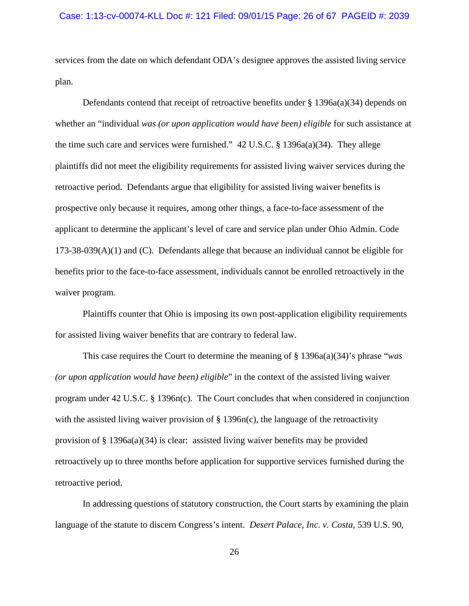## Case: 1:13-cv-00074-KLL Doc #: 121 Filed: 09/01/15 Page: 26 of 67 PAGEID #: 2039

services from the date on which defendant ODA's designee approves the assisted living service plan.

Defendants contend that receipt of retroactive benefits under  $\S$  1396a(a)(34) depends on whether an "individual *was (or upon application would have been) eligible* for such assistance at the time such care and services were furnished." 42 U.S.C. § 1396a(a)(34). They allege plaintiffs did not meet the eligibility requirements for assisted living waiver services during the retroactive period. Defendants argue that eligibility for assisted living waiver benefits is prospective only because it requires, among other things, a face-to-face assessment of the applicant to determine the applicant's level of care and service plan under Ohio Admin. Code 173-38-039(A)(1) and (C). Defendants allege that because an individual cannot be eligible for benefits prior to the face-to-face assessment, individuals cannot be enrolled retroactively in the waiver program.

Plaintiffs counter that Ohio is imposing its own post-application eligibility requirements for assisted living waiver benefits that are contrary to federal law.

This case requires the Court to determine the meaning of § 1396a(a)(34)'s phrase "*was (or upon application would have been) eligible*" in the context of the assisted living waiver program under 42 U.S.C. § 1396n(c). The Court concludes that when considered in conjunction with the assisted living waiver provision of  $\S$  1396n(c), the language of the retroactivity provision of  $\S$  1396a(a)(34) is clear: assisted living waiver benefits may be provided retroactively up to three months before application for supportive services furnished during the retroactive period.

In addressing questions of statutory construction, the Court starts by examining the plain language of the statute to discern Congress's intent. *Desert Palace, Inc. v. Costa*, 539 U.S. 90,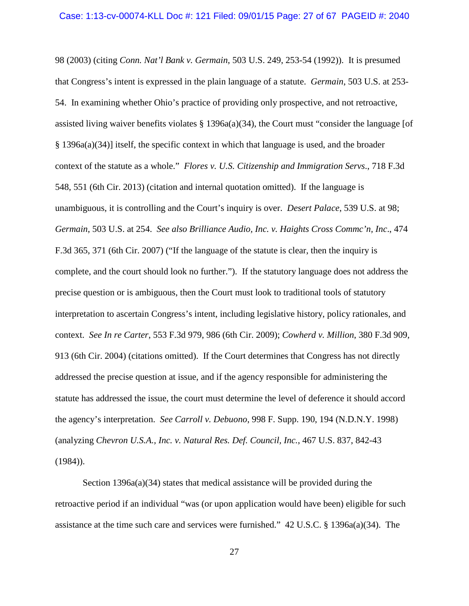98 (2003) (citing *Conn. Nat'l Bank v. Germain*, 503 U.S. 249, 253-54 (1992)). It is presumed that Congress's intent is expressed in the plain language of a statute. *Germain*, 503 U.S. at 253- 54. In examining whether Ohio's practice of providing only prospective, and not retroactive, assisted living waiver benefits violates  $\S$  1396a(a)(34), the Court must "consider the language [of § 1396a(a)(34)] itself, the specific context in which that language is used, and the broader context of the statute as a whole." *Flores v. U.S. Citizenship and Immigration Servs*., 718 F.3d 548, 551 (6th Cir. 2013) (citation and internal quotation omitted). If the language is unambiguous, it is controlling and the Court's inquiry is over. *Desert Palace*, 539 U.S. at 98; *Germain*, 503 U.S. at 254. *See also Brilliance Audio, Inc. v. Haights Cross Commc'n, Inc*., 474 F.3d 365, 371 (6th Cir. 2007) ("If the language of the statute is clear, then the inquiry is complete, and the court should look no further."). If the statutory language does not address the precise question or is ambiguous, then the Court must look to traditional tools of statutory interpretation to ascertain Congress's intent, including legislative history, policy rationales, and context. *See In re Carter*, 553 F.3d 979, 986 (6th Cir. 2009); *Cowherd v. Million*, 380 F.3d 909, 913 (6th Cir. 2004) (citations omitted). If the Court determines that Congress has not directly addressed the precise question at issue, and if the agency responsible for administering the statute has addressed the issue, the court must determine the level of deference it should accord the agency's interpretation. *See Carroll v. Debuono*, 998 F. Supp. 190, 194 (N.D.N.Y. 1998) (analyzing *Chevron U.S.A., Inc. v. Natural Res. Def. Council, Inc.*, 467 U.S. 837, 842-43  $(1984)$ ).

Section 1396a(a)(34) states that medical assistance will be provided during the retroactive period if an individual "was (or upon application would have been) eligible for such assistance at the time such care and services were furnished." 42 U.S.C. § 1396a(a)(34). The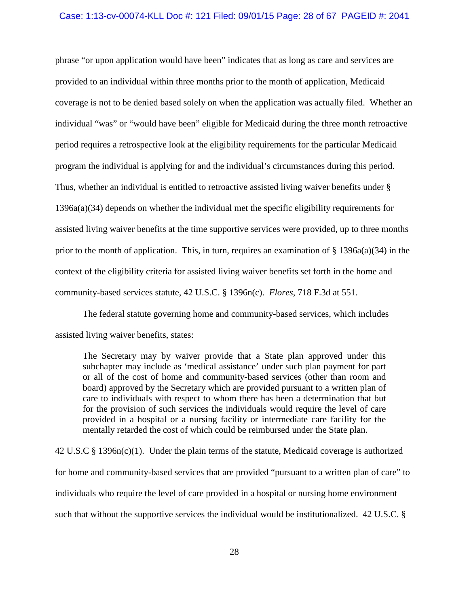#### Case: 1:13-cv-00074-KLL Doc #: 121 Filed: 09/01/15 Page: 28 of 67 PAGEID #: 2041

phrase "or upon application would have been" indicates that as long as care and services are provided to an individual within three months prior to the month of application, Medicaid coverage is not to be denied based solely on when the application was actually filed. Whether an individual "was" or "would have been" eligible for Medicaid during the three month retroactive period requires a retrospective look at the eligibility requirements for the particular Medicaid program the individual is applying for and the individual's circumstances during this period. Thus, whether an individual is entitled to retroactive assisted living waiver benefits under § 1396a(a)(34) depends on whether the individual met the specific eligibility requirements for assisted living waiver benefits at the time supportive services were provided, up to three months prior to the month of application. This, in turn, requires an examination of  $\S$  1396a(a)(34) in the context of the eligibility criteria for assisted living waiver benefits set forth in the home and community-based services statute, 42 U.S.C. § 1396n(c). *Flores*, 718 F.3d at 551.

The federal statute governing home and community-based services, which includes assisted living waiver benefits, states:

The Secretary may by waiver provide that a State plan approved under this subchapter may include as 'medical assistance' under such plan payment for part or all of the cost of home and community-based services (other than room and board) approved by the Secretary which are provided pursuant to a written plan of care to individuals with respect to whom there has been a determination that but for the provision of such services the individuals would require the level of care provided in a hospital or a nursing facility or intermediate care facility for the mentally retarded the cost of which could be reimbursed under the State plan.

42 U.S.C § 1396n(c)(1). Under the plain terms of the statute, Medicaid coverage is authorized for home and community-based services that are provided "pursuant to a written plan of care" to individuals who require the level of care provided in a hospital or nursing home environment such that without the supportive services the individual would be institutionalized. 42 U.S.C. §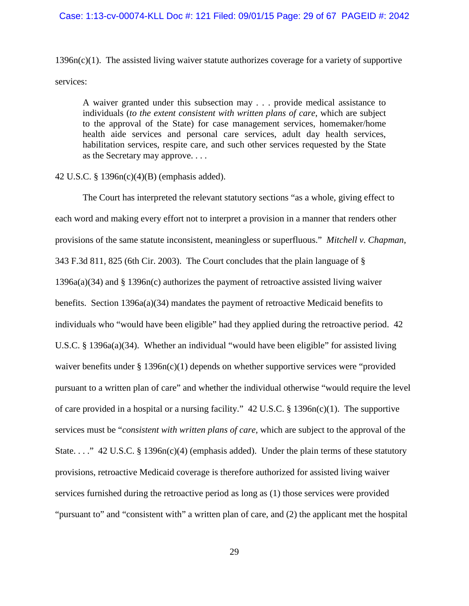#### Case: 1:13-cv-00074-KLL Doc #: 121 Filed: 09/01/15 Page: 29 of 67 PAGEID #: 2042

 $1396n(c)(1)$ . The assisted living waiver statute authorizes coverage for a variety of supportive services:

A waiver granted under this subsection may . . . provide medical assistance to individuals (*to the extent consistent with written plans of care*, which are subject to the approval of the State) for case management services, homemaker/home health aide services and personal care services, adult day health services, habilitation services, respite care, and such other services requested by the State as the Secretary may approve. . . .

## 42 U.S.C. § 1396n(c)(4)(B) (emphasis added).

The Court has interpreted the relevant statutory sections "as a whole, giving effect to each word and making every effort not to interpret a provision in a manner that renders other provisions of the same statute inconsistent, meaningless or superfluous." *Mitchell v. Chapman*, 343 F.3d 811, 825 (6th Cir. 2003). The Court concludes that the plain language of § 1396a(a)(34) and § 1396n(c) authorizes the payment of retroactive assisted living waiver benefits. Section 1396a(a)(34) mandates the payment of retroactive Medicaid benefits to individuals who "would have been eligible" had they applied during the retroactive period. 42 U.S.C. § 1396a(a)(34). Whether an individual "would have been eligible" for assisted living waiver benefits under  $\S 1396n(c)(1)$  depends on whether supportive services were "provided" pursuant to a written plan of care" and whether the individual otherwise "would require the level of care provided in a hospital or a nursing facility." 42 U.S.C. § 1396n(c)(1). The supportive services must be "*consistent with written plans of care*, which are subject to the approval of the State...." 42 U.S.C. § 1396n(c)(4) (emphasis added). Under the plain terms of these statutory provisions, retroactive Medicaid coverage is therefore authorized for assisted living waiver services furnished during the retroactive period as long as (1) those services were provided "pursuant to" and "consistent with" a written plan of care, and (2) the applicant met the hospital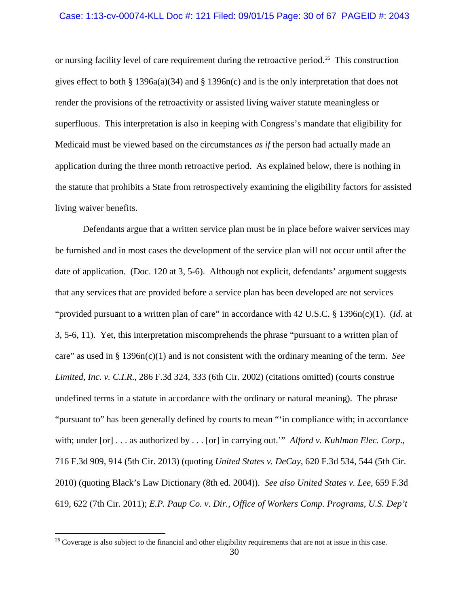#### Case: 1:13-cv-00074-KLL Doc #: 121 Filed: 09/01/15 Page: 30 of 67 PAGEID #: 2043

or nursing facility level of care requirement during the retroactive period. [26](#page-29-0) This construction gives effect to both § 1396a(a)(34) and § 1396n(c) and is the only interpretation that does not render the provisions of the retroactivity or assisted living waiver statute meaningless or superfluous. This interpretation is also in keeping with Congress's mandate that eligibility for Medicaid must be viewed based on the circumstances *as if* the person had actually made an application during the three month retroactive period. As explained below, there is nothing in the statute that prohibits a State from retrospectively examining the eligibility factors for assisted living waiver benefits.

Defendants argue that a written service plan must be in place before waiver services may be furnished and in most cases the development of the service plan will not occur until after the date of application. (Doc. 120 at 3, 5-6). Although not explicit, defendants' argument suggests that any services that are provided before a service plan has been developed are not services "provided pursuant to a written plan of care" in accordance with 42 U.S.C. § 1396n(c)(1). (*Id*. at 3, 5-6, 11). Yet, this interpretation miscomprehends the phrase "pursuant to a written plan of care" as used in § 1396n(c)(1) and is not consistent with the ordinary meaning of the term. *See Limited, Inc. v. C.I.R*., 286 F.3d 324, 333 (6th Cir. 2002) (citations omitted) (courts construe undefined terms in a statute in accordance with the ordinary or natural meaning). The phrase "pursuant to" has been generally defined by courts to mean "'in compliance with; in accordance with; under [or] . . . as authorized by . . . [or] in carrying out.'" *Alford v. Kuhlman Elec. Corp*., 716 F.3d 909, 914 (5th Cir. 2013) (quoting *United States v. DeCay*, 620 F.3d 534, 544 (5th Cir. 2010) (quoting Black's Law Dictionary (8th ed. 2004)). *See also United States v. Lee*, 659 F.3d 619, 622 (7th Cir. 2011); *E.P. Paup Co. v. Dir., Office of Workers Comp. Programs, U.S. Dep't* 

<span id="page-29-0"></span> $26$  Coverage is also subject to the financial and other eligibility requirements that are not at issue in this case.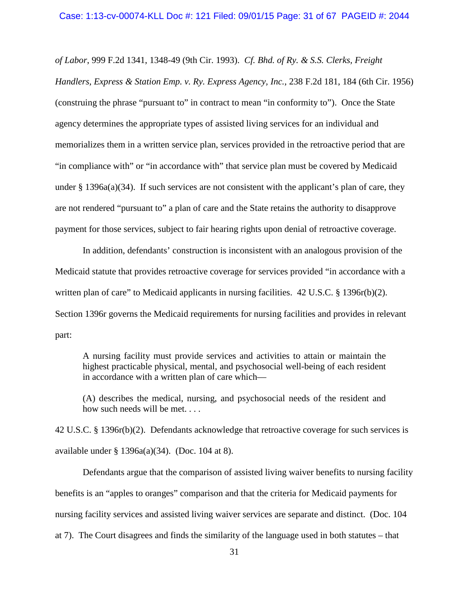*of Labor*, 999 F.2d 1341, 1348-49 (9th Cir. 1993). *Cf. Bhd. of Ry. & S.S. Clerks, Freight Handlers, Express & Station Emp. v. Ry. Express Agency, Inc.*, 238 F.2d 181, 184 (6th Cir. 1956) (construing the phrase "pursuant to" in contract to mean "in conformity to"). Once the State agency determines the appropriate types of assisted living services for an individual and memorializes them in a written service plan, services provided in the retroactive period that are "in compliance with" or "in accordance with" that service plan must be covered by Medicaid under  $\S 1396a(a)(34)$ . If such services are not consistent with the applicant's plan of care, they are not rendered "pursuant to" a plan of care and the State retains the authority to disapprove payment for those services, subject to fair hearing rights upon denial of retroactive coverage.

In addition, defendants' construction is inconsistent with an analogous provision of the Medicaid statute that provides retroactive coverage for services provided "in accordance with a written plan of care" to Medicaid applicants in nursing facilities. 42 U.S.C. § 1396r(b)(2). Section 1396r governs the Medicaid requirements for nursing facilities and provides in relevant part:

A nursing facility must provide services and activities to attain or maintain the highest practicable physical, mental, and psychosocial well-being of each resident in accordance with a written plan of care which—

(A) describes the medical, nursing, and psychosocial needs of the resident and how such needs will be met. . . .

42 U.S.C. § 1396r(b)(2). Defendants acknowledge that retroactive coverage for such services is available under § 1396a(a)(34). (Doc. 104 at 8).

Defendants argue that the comparison of assisted living waiver benefits to nursing facility benefits is an "apples to oranges" comparison and that the criteria for Medicaid payments for nursing facility services and assisted living waiver services are separate and distinct. (Doc. 104 at 7). The Court disagrees and finds the similarity of the language used in both statutes – that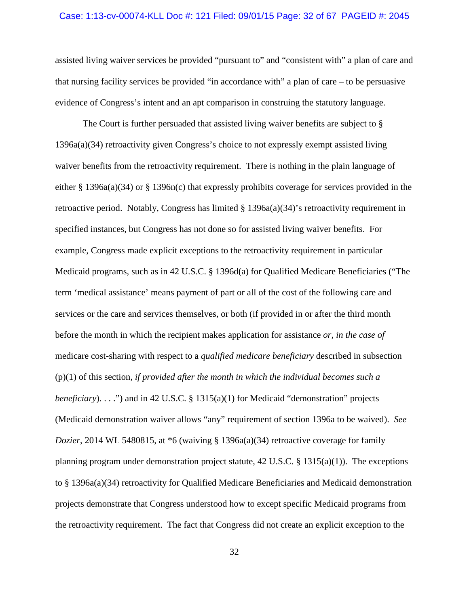#### Case: 1:13-cv-00074-KLL Doc #: 121 Filed: 09/01/15 Page: 32 of 67 PAGEID #: 2045

assisted living waiver services be provided "pursuant to" and "consistent with" a plan of care and that nursing facility services be provided "in accordance with" a plan of care – to be persuasive evidence of Congress's intent and an apt comparison in construing the statutory language.

The Court is further persuaded that assisted living waiver benefits are subject to § 1396a(a)(34) retroactivity given Congress's choice to not expressly exempt assisted living waiver benefits from the retroactivity requirement. There is nothing in the plain language of either § 1396a(a)(34) or § 1396n(c) that expressly prohibits coverage for services provided in the retroactive period. Notably, Congress has limited  $\S 1396a(a)(34)'$  retroactivity requirement in specified instances, but Congress has not done so for assisted living waiver benefits. For example, Congress made explicit exceptions to the retroactivity requirement in particular Medicaid programs, such as in 42 U.S.C. § 1396d(a) for Qualified Medicare Beneficiaries ("The term 'medical assistance' means payment of part or all of the cost of the following care and services or the care and services themselves, or both (if provided in or after the third month before the month in which the recipient makes application for assistance *or, in the case of* medicare cost-sharing with respect to a *qualified medicare beneficiary* described in subsection (p)(1) of this section*, if provided after the month in which the individual becomes such a beneficiary*). . . .") and in 42 U.S.C. § 1315(a)(1) for Medicaid "demonstration" projects (Medicaid demonstration waiver allows "any" requirement of section 1396a to be waived). *See Dozier*, 2014 WL 5480815, at \*6 (waiving § 1396a(a)(34) retroactive coverage for family planning program under demonstration project statute,  $42 \text{ U.S.C.}$  §  $1315(a)(1)$ ). The exceptions to § 1396a(a)(34) retroactivity for Qualified Medicare Beneficiaries and Medicaid demonstration projects demonstrate that Congress understood how to except specific Medicaid programs from the retroactivity requirement. The fact that Congress did not create an explicit exception to the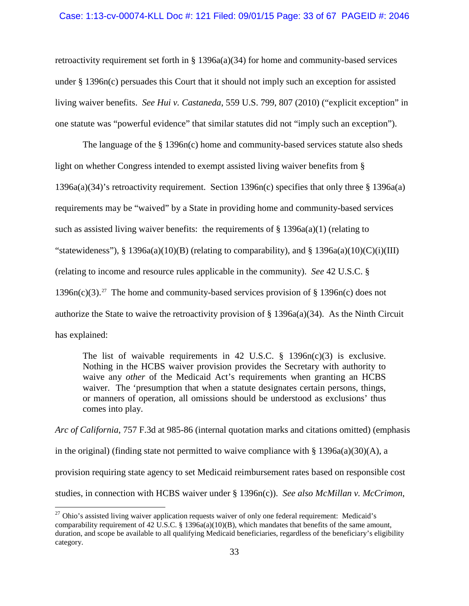### Case: 1:13-cv-00074-KLL Doc #: 121 Filed: 09/01/15 Page: 33 of 67 PAGEID #: 2046

retroactivity requirement set forth in § 1396a(a)(34) for home and community-based services under § 1396n(c) persuades this Court that it should not imply such an exception for assisted living waiver benefits. *See Hui v. Castaneda*, 559 U.S. 799, 807 (2010) ("explicit exception" in one statute was "powerful evidence" that similar statutes did not "imply such an exception").

The language of the § 1396n(c) home and community-based services statute also sheds light on whether Congress intended to exempt assisted living waiver benefits from § 1396a(a)(34)'s retroactivity requirement. Section 1396n(c) specifies that only three § 1396a(a) requirements may be "waived" by a State in providing home and community-based services such as assisted living waiver benefits: the requirements of  $\S$  1396a(a)(1) (relating to "statewideness"), § 1396a(a)(10)(B) (relating to comparability), and § 1396a(a)(10)(C)(i)(III) (relating to income and resource rules applicable in the community). *See* 42 U.S.C. § 1396n(c)(3).<sup>[27](#page-32-0)</sup> The home and community-based services provision of § 1396n(c) does not authorize the State to waive the retroactivity provision of § 1396a(a)(34). As the Ninth Circuit has explained:

The list of waivable requirements in 42 U.S.C.  $\S$  1396n(c)(3) is exclusive. Nothing in the HCBS waiver provision provides the Secretary with authority to waive any *other* of the Medicaid Act's requirements when granting an HCBS waiver. The 'presumption that when a statute designates certain persons, things, or manners of operation, all omissions should be understood as exclusions' thus comes into play.

*Arc of California*, 757 F.3d at 985-86 (internal quotation marks and citations omitted) (emphasis in the original) (finding state not permitted to waive compliance with § 1396a(a)(30)(A), a provision requiring state agency to set Medicaid reimbursement rates based on responsible cost studies, in connection with HCBS waiver under § 1396n(c)). *See also McMillan v. McCrimon*,

<span id="page-32-0"></span> $27$  Ohio's assisted living waiver application requests waiver of only one federal requirement: Medicaid's comparability requirement of 42 U.S.C. § 1396a(a)(10)(B), which mandates that benefits of the same amount, duration, and scope be available to all qualifying Medicaid beneficiaries, regardless of the beneficiary's eligibility category.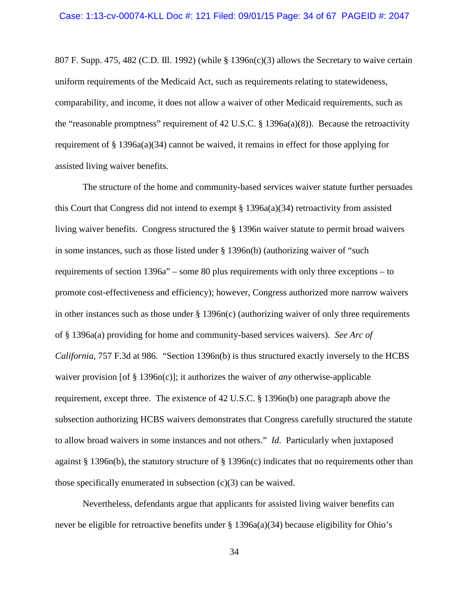807 F. Supp. 475, 482 (C.D. Ill. 1992) (while  $\S$  1396n(c)(3) allows the Secretary to waive certain uniform requirements of the Medicaid Act, such as requirements relating to statewideness, comparability, and income, it does not allow a waiver of other Medicaid requirements, such as the "reasonable promptness" requirement of 42 U.S.C.  $\S$  1396a(a)(8)). Because the retroactivity requirement of  $\S 1396a(a)(34)$  cannot be waived, it remains in effect for those applying for assisted living waiver benefits.

The structure of the home and community-based services waiver statute further persuades this Court that Congress did not intend to exempt  $\S 1396a(a)(34)$  retroactivity from assisted living waiver benefits. Congress structured the § 1396n waiver statute to permit broad waivers in some instances, such as those listed under § 1396n(b) (authorizing waiver of "such requirements of section 1396a" – some 80 plus requirements with only three exceptions – to promote cost-effectiveness and efficiency); however, Congress authorized more narrow waivers in other instances such as those under  $\S 1396n(c)$  (authorizing waiver of only three requirements of § 1396a(a) providing for home and community-based services waivers). *See Arc of California*, 757 F.3d at 986. "Section 1396n(b) is thus structured exactly inversely to the HCBS waiver provision [of § 1396n(c)]; it authorizes the waiver of *any* otherwise-applicable requirement, except three. The existence of 42 U.S.C. § 1396n(b) one paragraph above the subsection authorizing HCBS waivers demonstrates that Congress carefully structured the statute to allow broad waivers in some instances and not others." *Id*. Particularly when juxtaposed against § 1396n(b), the statutory structure of § 1396n(c) indicates that no requirements other than those specifically enumerated in subsection (c)(3) can be waived.

Nevertheless, defendants argue that applicants for assisted living waiver benefits can never be eligible for retroactive benefits under § 1396a(a)(34) because eligibility for Ohio's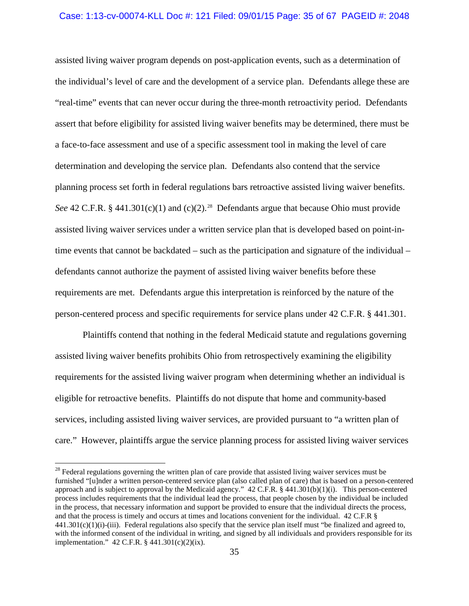#### Case: 1:13-cv-00074-KLL Doc #: 121 Filed: 09/01/15 Page: 35 of 67 PAGEID #: 2048

assisted living waiver program depends on post-application events, such as a determination of the individual's level of care and the development of a service plan. Defendants allege these are "real-time" events that can never occur during the three-month retroactivity period. Defendants assert that before eligibility for assisted living waiver benefits may be determined, there must be a face-to-face assessment and use of a specific assessment tool in making the level of care determination and developing the service plan. Defendants also contend that the service planning process set forth in federal regulations bars retroactive assisted living waiver benefits. *See* 42 C.F.R. § 441.301(c)(1) and (c)(2).<sup>[28](#page-34-0)</sup> Defendants argue that because Ohio must provide assisted living waiver services under a written service plan that is developed based on point-intime events that cannot be backdated – such as the participation and signature of the individual – defendants cannot authorize the payment of assisted living waiver benefits before these requirements are met. Defendants argue this interpretation is reinforced by the nature of the person-centered process and specific requirements for service plans under 42 C.F.R. § 441.301.

Plaintiffs contend that nothing in the federal Medicaid statute and regulations governing assisted living waiver benefits prohibits Ohio from retrospectively examining the eligibility requirements for the assisted living waiver program when determining whether an individual is eligible for retroactive benefits. Plaintiffs do not dispute that home and community-based services, including assisted living waiver services, are provided pursuant to "a written plan of care." However, plaintiffs argue the service planning process for assisted living waiver services

<span id="page-34-0"></span><sup>&</sup>lt;sup>28</sup> Federal regulations governing the written plan of care provide that assisted living waiver services must be furnished "[u]nder a written person-centered service plan (also called plan of care) that is based on a person-centered approach and is subject to approval by the Medicaid agency."  $42$  C.F.R. §  $441.301(b)(1)(i)$ . This person-centered process includes requirements that the individual lead the process, that people chosen by the individual be included in the process, that necessary information and support be provided to ensure that the individual directs the process, and that the process is timely and occurs at times and locations convenient for the individual. 42 C.F.R §  $441.301(c)(1)(i)-(iii)$ . Federal regulations also specify that the service plan itself must "be finalized and agreed to, with the informed consent of the individual in writing, and signed by all individuals and providers responsible for its implementation." 42 C.F.R. § 441.301(c)(2)(ix).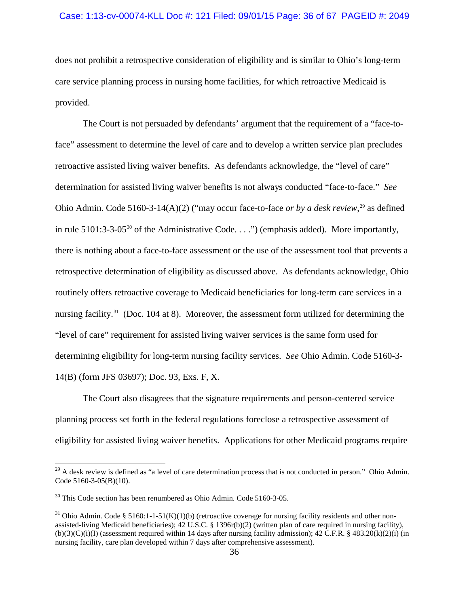## Case: 1:13-cv-00074-KLL Doc #: 121 Filed: 09/01/15 Page: 36 of 67 PAGEID #: 2049

does not prohibit a retrospective consideration of eligibility and is similar to Ohio's long-term care service planning process in nursing home facilities, for which retroactive Medicaid is provided.

The Court is not persuaded by defendants' argument that the requirement of a "face-toface" assessment to determine the level of care and to develop a written service plan precludes retroactive assisted living waiver benefits. As defendants acknowledge, the "level of care" determination for assisted living waiver benefits is not always conducted "face-to-face." *See* Ohio Admin. Code 5160-3-14(A)(2) ("may occur face-to-face *or by a desk review*, [29](#page-35-0) as defined in rule 5101:3-3-05<sup>[30](#page-35-1)</sup> of the Administrative Code. . . .") (emphasis added). More importantly, there is nothing about a face-to-face assessment or the use of the assessment tool that prevents a retrospective determination of eligibility as discussed above. As defendants acknowledge, Ohio routinely offers retroactive coverage to Medicaid beneficiaries for long-term care services in a nursing facility.<sup>[31](#page-35-2)</sup> (Doc. 104 at 8). Moreover, the assessment form utilized for determining the "level of care" requirement for assisted living waiver services is the same form used for determining eligibility for long-term nursing facility services. *See* Ohio Admin. Code 5160-3- 14(B) (form JFS 03697); Doc. 93, Exs. F, X.

The Court also disagrees that the signature requirements and person-centered service planning process set forth in the federal regulations foreclose a retrospective assessment of eligibility for assisted living waiver benefits. Applications for other Medicaid programs require

<span id="page-35-0"></span> $^{29}$  A desk review is defined as "a level of care determination process that is not conducted in person." Ohio Admin. Code 5160-3-05(B)(10).

<span id="page-35-1"></span><sup>&</sup>lt;sup>30</sup> This Code section has been renumbered as Ohio Admin. Code 5160-3-05.

<span id="page-35-2"></span><sup>&</sup>lt;sup>31</sup> Ohio Admin. Code § 5160:1-1-51(K)(1)(b) (retroactive coverage for nursing facility residents and other nonassisted-living Medicaid beneficiaries); 42 U.S.C. § 1396r(b)(2) (written plan of care required in nursing facility),  $(b)(3)(C)(i)(I)$  (assessment required within 14 days after nursing facility admission); 42 C.F.R. § 483.20 $(k)(2)(i)$  (in nursing facility, care plan developed within 7 days after comprehensive assessment).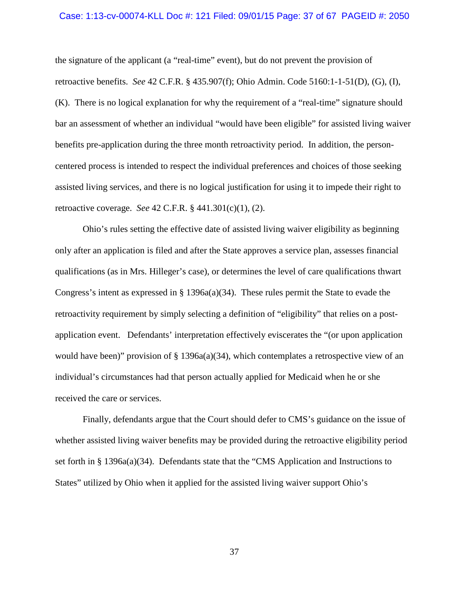#### Case: 1:13-cv-00074-KLL Doc #: 121 Filed: 09/01/15 Page: 37 of 67 PAGEID #: 2050

the signature of the applicant (a "real-time" event), but do not prevent the provision of retroactive benefits. *See* 42 C.F.R. § 435.907(f); Ohio Admin. Code 5160:1-1-51(D), (G), (I), (K). There is no logical explanation for why the requirement of a "real-time" signature should bar an assessment of whether an individual "would have been eligible" for assisted living waiver benefits pre-application during the three month retroactivity period.In addition, the personcentered process is intended to respect the individual preferences and choices of those seeking assisted living services, and there is no logical justification for using it to impede their right to retroactive coverage. *See* 42 C.F.R. § 441.301(c)(1), (2).

Ohio's rules setting the effective date of assisted living waiver eligibility as beginning only after an application is filed and after the State approves a service plan, assesses financial qualifications (as in Mrs. Hilleger's case), or determines the level of care qualifications thwart Congress's intent as expressed in §  $1396a(a)(34)$ . These rules permit the State to evade the retroactivity requirement by simply selecting a definition of "eligibility" that relies on a postapplication event. Defendants' interpretation effectively eviscerates the "(or upon application would have been)" provision of  $\S$  1396a(a)(34), which contemplates a retrospective view of an individual's circumstances had that person actually applied for Medicaid when he or she received the care or services.

Finally, defendants argue that the Court should defer to CMS's guidance on the issue of whether assisted living waiver benefits may be provided during the retroactive eligibility period set forth in § 1396a(a)(34). Defendants state that the "CMS Application and Instructions to States" utilized by Ohio when it applied for the assisted living waiver support Ohio's

37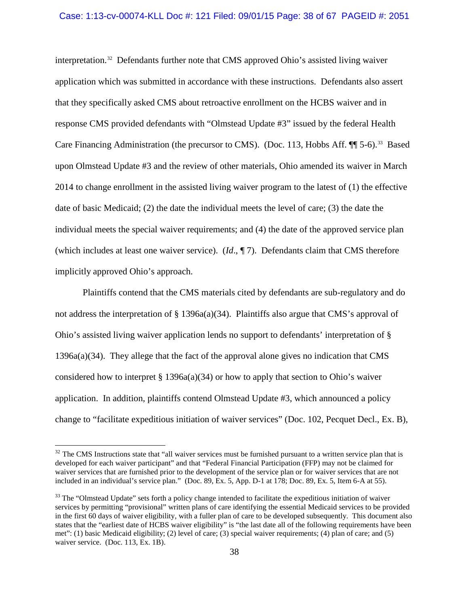### Case: 1:13-cv-00074-KLL Doc #: 121 Filed: 09/01/15 Page: 38 of 67 PAGEID #: 2051

interpretation. [32](#page-37-0) Defendants further note that CMS approved Ohio's assisted living waiver application which was submitted in accordance with these instructions. Defendants also assert that they specifically asked CMS about retroactive enrollment on the HCBS waiver and in response CMS provided defendants with "Olmstead Update #3" issued by the federal Health Care Financing Administration (the precursor to CMS). (Doc. 113, Hobbs Aff. ¶ 5-6).<sup>33</sup> Based upon Olmstead Update #3 and the review of other materials, Ohio amended its waiver in March 2014 to change enrollment in the assisted living waiver program to the latest of (1) the effective date of basic Medicaid; (2) the date the individual meets the level of care; (3) the date the individual meets the special waiver requirements; and (4) the date of the approved service plan (which includes at least one waiver service). (*Id*., ¶ 7). Defendants claim that CMS therefore implicitly approved Ohio's approach.

Plaintiffs contend that the CMS materials cited by defendants are sub-regulatory and do not address the interpretation of § 1396a(a)(34). Plaintiffs also argue that CMS's approval of Ohio's assisted living waiver application lends no support to defendants' interpretation of § 1396a(a)(34). They allege that the fact of the approval alone gives no indication that CMS considered how to interpret  $\S 1396a(a)(34)$  or how to apply that section to Ohio's waiver application. In addition, plaintiffs contend Olmstead Update #3, which announced a policy change to "facilitate expeditious initiation of waiver services" (Doc. 102, Pecquet Decl., Ex. B),

<span id="page-37-0"></span> $32$  The CMS Instructions state that "all waiver services must be furnished pursuant to a written service plan that is developed for each waiver participant" and that "Federal Financial Participation (FFP) may not be claimed for waiver services that are furnished prior to the development of the service plan or for waiver services that are not included in an individual's service plan." (Doc. 89, Ex. 5, App. D-1 at 178; Doc. 89, Ex. 5, Item 6-A at 55).

<span id="page-37-1"></span> $33$  The "Olmstead Update" sets forth a policy change intended to facilitate the expeditious initiation of waiver services by permitting "provisional" written plans of care identifying the essential Medicaid services to be provided in the first 60 days of waiver eligibility, with a fuller plan of care to be developed subsequently. This document also states that the "earliest date of HCBS waiver eligibility" is "the last date all of the following requirements have been met": (1) basic Medicaid eligibility; (2) level of care; (3) special waiver requirements; (4) plan of care; and (5) waiver service. (Doc. 113, Ex. 1B).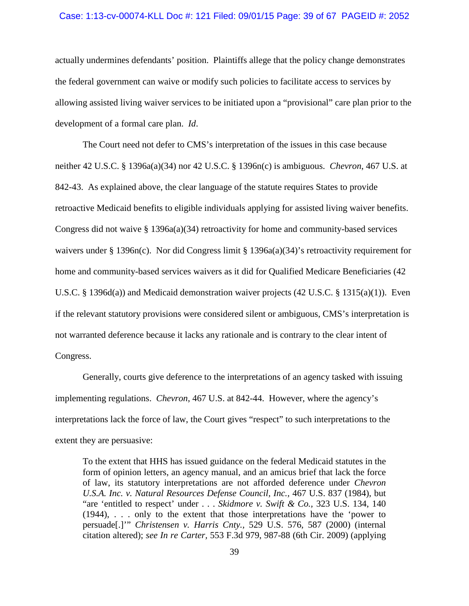#### Case: 1:13-cv-00074-KLL Doc #: 121 Filed: 09/01/15 Page: 39 of 67 PAGEID #: 2052

actually undermines defendants' position. Plaintiffs allege that the policy change demonstrates the federal government can waive or modify such policies to facilitate access to services by allowing assisted living waiver services to be initiated upon a "provisional" care plan prior to the development of a formal care plan. *Id*.

The Court need not defer to CMS's interpretation of the issues in this case because neither 42 U.S.C. § 1396a(a)(34) nor 42 U.S.C. § 1396n(c) is ambiguous. *Chevron*, 467 U.S. at 842-43. As explained above, the clear language of the statute requires States to provide retroactive Medicaid benefits to eligible individuals applying for assisted living waiver benefits. Congress did not waive § 1396a(a)(34) retroactivity for home and community-based services waivers under § 1396n(c). Nor did Congress limit § 1396a(a)(34)'s retroactivity requirement for home and community-based services waivers as it did for Qualified Medicare Beneficiaries (42 U.S.C. § 1396d(a)) and Medicaid demonstration waiver projects (42 U.S.C. § 1315(a)(1)). Even if the relevant statutory provisions were considered silent or ambiguous, CMS's interpretation is not warranted deference because it lacks any rationale and is contrary to the clear intent of Congress.

Generally, courts give deference to the interpretations of an agency tasked with issuing implementing regulations. *Chevron*, 467 U.S. at 842-44. However, where the agency's interpretations lack the force of law, the Court gives "respect" to such interpretations to the extent they are persuasive:

To the extent that HHS has issued guidance on the federal Medicaid statutes in the form of opinion letters, an agency manual, and an amicus brief that lack the force of law, its statutory interpretations are not afforded deference under *Chevron U.S.A. Inc. v. Natural Resources Defense Council, Inc.,* 467 U.S. 837 (1984), but "are 'entitled to respect' under . . . *Skidmore v. Swift & Co.,* 323 U.S. 134, 140 (1944), . . . only to the extent that those interpretations have the 'power to persuade[.]'" *Christensen v. Harris Cnty.,* 529 U.S. 576, 587 (2000) (internal citation altered); *see In re Carter,* 553 F.3d 979, 987-88 (6th Cir. 2009) (applying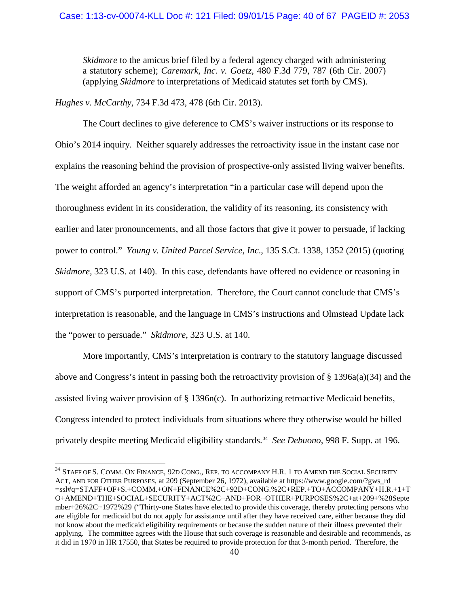## Case: 1:13-cv-00074-KLL Doc #: 121 Filed: 09/01/15 Page: 40 of 67 PAGEID #: 2053

*Skidmore* to the amicus brief filed by a federal agency charged with administering a statutory scheme); *Caremark, Inc. v. Goetz,* 480 F.3d 779, 787 (6th Cir. 2007) (applying *Skidmore* to interpretations of Medicaid statutes set forth by CMS).

*Hughes v. McCarthy*, 734 F.3d 473, 478 (6th Cir. 2013).

The Court declines to give deference to CMS's waiver instructions or its response to Ohio's 2014 inquiry. Neither squarely addresses the retroactivity issue in the instant case nor explains the reasoning behind the provision of prospective-only assisted living waiver benefits. The weight afforded an agency's interpretation "in a particular case will depend upon the thoroughness evident in its consideration, the validity of its reasoning, its consistency with earlier and later pronouncements, and all those factors that give it power to persuade, if lacking power to control." *Young v. United Parcel Service, Inc*., 135 S.Ct. 1338, 1352 (2015) (quoting *Skidmore,* 323 U.S. at 140). In this case, defendants have offered no evidence or reasoning in support of CMS's purported interpretation. Therefore, the Court cannot conclude that CMS's interpretation is reasonable, and the language in CMS's instructions and Olmstead Update lack the "power to persuade." *Skidmore*, 323 U.S. at 140.

More importantly, CMS's interpretation is contrary to the statutory language discussed above and Congress's intent in passing both the retroactivity provision of § 1396a(a)(34) and the assisted living waiver provision of  $\S 1396n(c)$ . In authorizing retroactive Medicaid benefits, Congress intended to protect individuals from situations where they otherwise would be billed privately despite meeting Medicaid eligibility standards.<sup>34</sup> See Debuono, 998 F. Supp. at 196.

<span id="page-39-0"></span><sup>&</sup>lt;sup>34</sup> STAFF OF S. COMM. ON FINANCE, 92D CONG., REP. TO ACCOMPANY H.R. 1 TO AMEND THE SOCIAL SECURITY ACT, AND FOR OTHER PURPOSES, at 209 (September 26, 1972), available at https://www.google.com/?gws\_rd =ssl#q=STAFF+OF+S.+COMM.+ON+FINANCE%2C+92D+CONG.%2C+REP.+TO+ACCOMPANY+H.R.+1+T O+AMEND+THE+SOCIAL+SECURITY+ACT%2C+AND+FOR+OTHER+PURPOSES%2C+at+209+%28Septe mber+26%2C+1972%29 ("Thirty-one States have elected to provide this coverage, thereby protecting persons who are eligible for medicaid but do not apply for assistance until after they have received care, either because they did not know about the medicaid eligibility requirements or because the sudden nature of their illness prevented their applying. The committee agrees with the House that such coverage is reasonable and desirable and recommends, as it did in 1970 in HR 17550, that States be required to provide protection for that 3-month period. Therefore, the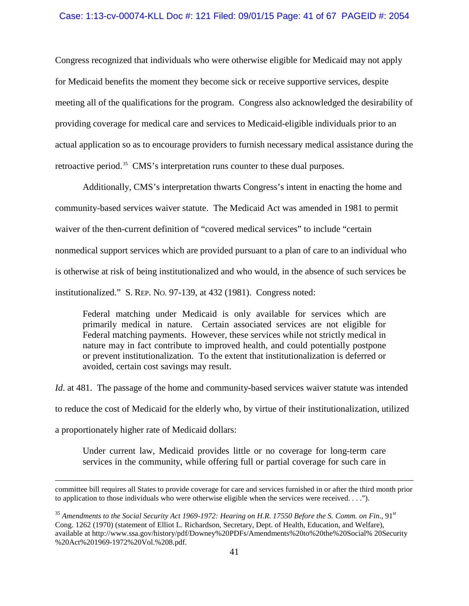## Case: 1:13-cv-00074-KLL Doc #: 121 Filed: 09/01/15 Page: 41 of 67 PAGEID #: 2054

Congress recognized that individuals who were otherwise eligible for Medicaid may not apply for Medicaid benefits the moment they become sick or receive supportive services, despite meeting all of the qualifications for the program. Congress also acknowledged the desirability of providing coverage for medical care and services to Medicaid-eligible individuals prior to an actual application so as to encourage providers to furnish necessary medical assistance during the retroactive period.<sup>35</sup> CMS's interpretation runs counter to these dual purposes.

Additionally, CMS's interpretation thwarts Congress's intent in enacting the home and community-based services waiver statute. The Medicaid Act was amended in 1981 to permit waiver of the then-current definition of "covered medical services" to include "certain nonmedical support services which are provided pursuant to a plan of care to an individual who is otherwise at risk of being institutionalized and who would, in the absence of such services be institutionalized." S. REP. NO. 97-139, at 432 (1981). Congress noted:

Federal matching under Medicaid is only available for services which are primarily medical in nature. Certain associated services are not eligible for Federal matching payments. However, these services while not strictly medical in nature may in fact contribute to improved health, and could potentially postpone or prevent institutionalization. To the extent that institutionalization is deferred or avoided, certain cost savings may result.

*Id.* at 481. The passage of the home and community-based services waiver statute was intended to reduce the cost of Medicaid for the elderly who, by virtue of their institutionalization, utilized a proportionately higher rate of Medicaid dollars:

Under current law, Medicaid provides little or no coverage for long-term care services in the community, while offering full or partial coverage for such care in

 $\overline{a}$ 

committee bill requires all States to provide coverage for care and services furnished in or after the third month prior to application to those individuals who were otherwise eligible when the services were received. . . .").

<span id="page-40-0"></span><sup>&</sup>lt;sup>35</sup> Amendments to the Social Security Act 1969-1972: Hearing on H.R. 17550 Before the S. Comm. on Fin., 91<sup>st</sup> Cong. 1262 (1970) (statement of Elliot L. Richardson, Secretary, Dept. of Health, Education, and Welfare), available at http://www.ssa.gov/history/pdf/Downey%20PDFs/Amendments%20to%20the%20Social% 20Security %20Act%201969-1972%20Vol.%208.pdf.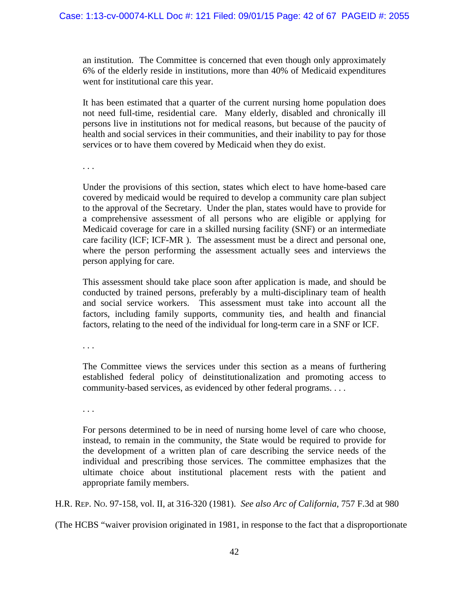an institution. The Committee is concerned that even though only approximately 6% of the elderly reside in institutions, more than 40% of Medicaid expenditures went for institutional care this year.

It has been estimated that a quarter of the current nursing home population does not need full-time, residential care. Many elderly, disabled and chronically ill persons live in institutions not for medical reasons, but because of the paucity of health and social services in their communities, and their inability to pay for those services or to have them covered by Medicaid when they do exist.

. . .

Under the provisions of this section, states which elect to have home-based care covered by medicaid would be required to develop a community care plan subject to the approval of the Secretary. Under the plan, states would have to provide for a comprehensive assessment of all persons who are eligible or applying for Medicaid coverage for care in a skilled nursing facility (SNF) or an intermediate care facility (lCF; ICF-MR ). The assessment must be a direct and personal one, where the person performing the assessment actually sees and interviews the person applying for care.

This assessment should take place soon after application is made, and should be conducted by trained persons, preferably by a multi-disciplinary team of health and social service workers. This assessment must take into account all the factors, including family supports, community ties, and health and financial factors, relating to the need of the individual for long-term care in a SNF or ICF.

. . .

The Committee views the services under this section as a means of furthering established federal policy of deinstitutionalization and promoting access to community-based services, as evidenced by other federal programs. . . .

. . .

For persons determined to be in need of nursing home level of care who choose, instead, to remain in the community, the State would be required to provide for the development of a written plan of care describing the service needs of the individual and prescribing those services. The committee emphasizes that the ultimate choice about institutional placement rests with the patient and appropriate family members.

H.R. REP. NO. 97-158, vol. II, at 316-320 (1981). *See also Arc of California*, 757 F.3d at 980

(The HCBS "waiver provision originated in 1981, in response to the fact that a disproportionate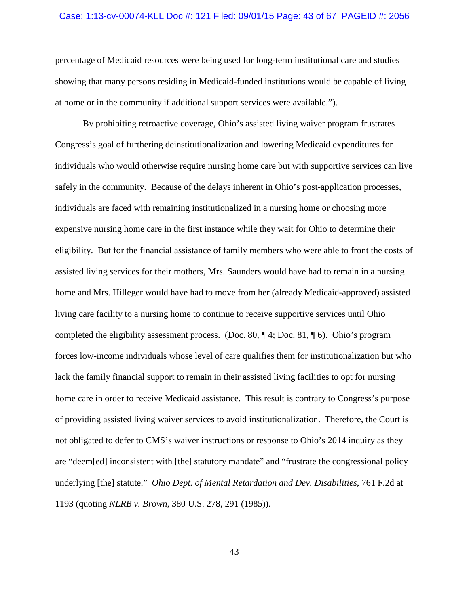#### Case: 1:13-cv-00074-KLL Doc #: 121 Filed: 09/01/15 Page: 43 of 67 PAGEID #: 2056

percentage of Medicaid resources were being used for long-term institutional care and studies showing that many persons residing in Medicaid-funded institutions would be capable of living at home or in the community if additional support services were available.").

By prohibiting retroactive coverage, Ohio's assisted living waiver program frustrates Congress's goal of furthering deinstitutionalization and lowering Medicaid expenditures for individuals who would otherwise require nursing home care but with supportive services can live safely in the community. Because of the delays inherent in Ohio's post-application processes, individuals are faced with remaining institutionalized in a nursing home or choosing more expensive nursing home care in the first instance while they wait for Ohio to determine their eligibility. But for the financial assistance of family members who were able to front the costs of assisted living services for their mothers, Mrs. Saunders would have had to remain in a nursing home and Mrs. Hilleger would have had to move from her (already Medicaid-approved) assisted living care facility to a nursing home to continue to receive supportive services until Ohio completed the eligibility assessment process. (Doc. 80,  $\P$ 4; Doc. 81,  $\P$ 6). Ohio's program forces low-income individuals whose level of care qualifies them for institutionalization but who lack the family financial support to remain in their assisted living facilities to opt for nursing home care in order to receive Medicaid assistance. This result is contrary to Congress's purpose of providing assisted living waiver services to avoid institutionalization. Therefore, the Court is not obligated to defer to CMS's waiver instructions or response to Ohio's 2014 inquiry as they are "deem[ed] inconsistent with [the] statutory mandate" and "frustrate the congressional policy underlying [the] statute." *Ohio Dept. of Mental Retardation and Dev. Disabilities*, 761 F.2d at 1193 (quoting *NLRB v. Brown*, 380 U.S. 278, 291 (1985)).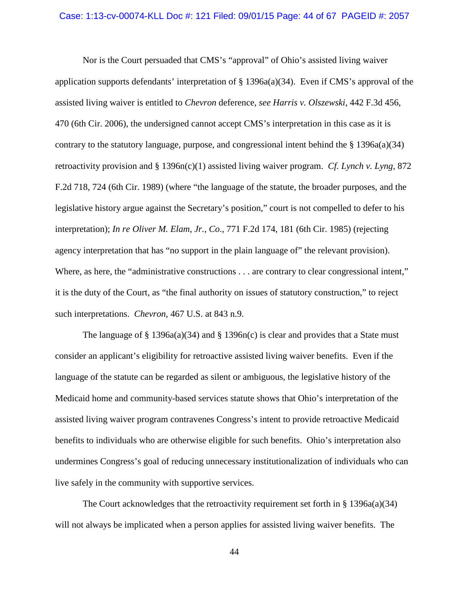#### Case: 1:13-cv-00074-KLL Doc #: 121 Filed: 09/01/15 Page: 44 of 67 PAGEID #: 2057

Nor is the Court persuaded that CMS's "approval" of Ohio's assisted living waiver application supports defendants' interpretation of § 1396a(a)(34). Even if CMS's approval of the assisted living waiver is entitled to *Chevron* deference, *see Harris v. Olszewski*, 442 F.3d 456, 470 (6th Cir. 2006), the undersigned cannot accept CMS's interpretation in this case as it is contrary to the statutory language, purpose, and congressional intent behind the  $\S 1396a(a)(34)$ retroactivity provision and § 1396n(c)(1) assisted living waiver program. *Cf. Lynch v. Lyng*, 872 F.2d 718, 724 (6th Cir. 1989) (where "the language of the statute, the broader purposes, and the legislative history argue against the Secretary's position," court is not compelled to defer to his interpretation); *In re Oliver M. Elam, Jr., Co*., 771 F.2d 174, 181 (6th Cir. 1985) (rejecting agency interpretation that has "no support in the plain language of" the relevant provision). Where, as here, the "administrative constructions . . . are contrary to clear congressional intent," it is the duty of the Court, as "the final authority on issues of statutory construction," to reject such interpretations. *Chevron*, 467 U.S. at 843 n.9.

The language of § 1396a(a)(34) and § 1396n(c) is clear and provides that a State must consider an applicant's eligibility for retroactive assisted living waiver benefits. Even if the language of the statute can be regarded as silent or ambiguous, the legislative history of the Medicaid home and community-based services statute shows that Ohio's interpretation of the assisted living waiver program contravenes Congress's intent to provide retroactive Medicaid benefits to individuals who are otherwise eligible for such benefits. Ohio's interpretation also undermines Congress's goal of reducing unnecessary institutionalization of individuals who can live safely in the community with supportive services.

The Court acknowledges that the retroactivity requirement set forth in § 1396a(a)(34) will not always be implicated when a person applies for assisted living waiver benefits. The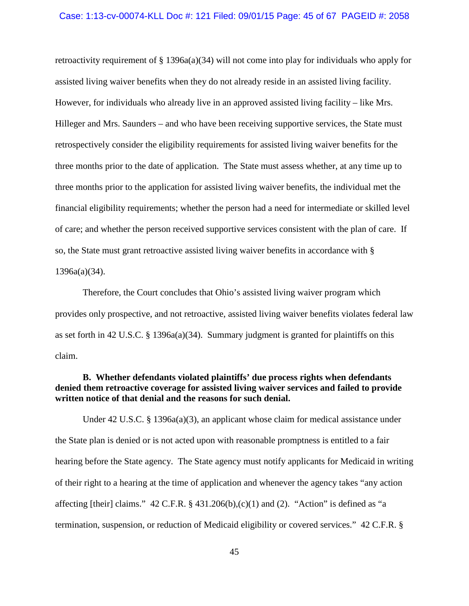#### Case: 1:13-cv-00074-KLL Doc #: 121 Filed: 09/01/15 Page: 45 of 67 PAGEID #: 2058

retroactivity requirement of  $\S 1396a(a)(34)$  will not come into play for individuals who apply for assisted living waiver benefits when they do not already reside in an assisted living facility. However, for individuals who already live in an approved assisted living facility – like Mrs. Hilleger and Mrs. Saunders – and who have been receiving supportive services, the State must retrospectively consider the eligibility requirements for assisted living waiver benefits for the three months prior to the date of application. The State must assess whether, at any time up to three months prior to the application for assisted living waiver benefits, the individual met the financial eligibility requirements; whether the person had a need for intermediate or skilled level of care; and whether the person received supportive services consistent with the plan of care. If so, the State must grant retroactive assisted living waiver benefits in accordance with § 1396a(a)(34).

Therefore, the Court concludes that Ohio's assisted living waiver program which provides only prospective, and not retroactive, assisted living waiver benefits violates federal law as set forth in 42 U.S.C. § 1396a(a)(34). Summary judgment is granted for plaintiffs on this claim.

# **B. Whether defendants violated plaintiffs' due process rights when defendants denied them retroactive coverage for assisted living waiver services and failed to provide written notice of that denial and the reasons for such denial.**

Under 42 U.S.C. § 1396a(a)(3), an applicant whose claim for medical assistance under the State plan is denied or is not acted upon with reasonable promptness is entitled to a fair hearing before the State agency. The State agency must notify applicants for Medicaid in writing of their right to a hearing at the time of application and whenever the agency takes "any action affecting [their] claims."  $42$  C.F.R. §  $431.206(b)$ ,(c)(1) and (2). "Action" is defined as "a termination, suspension, or reduction of Medicaid eligibility or covered services." 42 C.F.R. §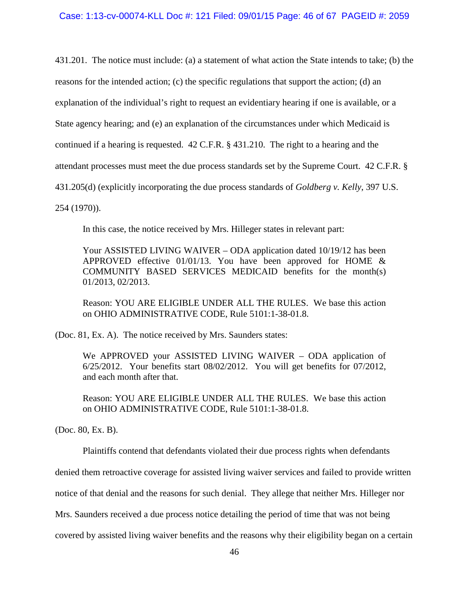431.201. The notice must include: (a) a statement of what action the State intends to take; (b) the

reasons for the intended action; (c) the specific regulations that support the action; (d) an

explanation of the individual's right to request an evidentiary hearing if one is available, or a

State agency hearing; and (e) an explanation of the circumstances under which Medicaid is

continued if a hearing is requested. 42 C.F.R. § 431.210. The right to a hearing and the

attendant processes must meet the due process standards set by the Supreme Court. 42 C.F.R. §

431.205(d) (explicitly incorporating the due process standards of *Goldberg v. Kelly*, 397 U.S.

254 (1970)).

In this case, the notice received by Mrs. Hilleger states in relevant part:

Your ASSISTED LIVING WAIVER – ODA application dated 10/19/12 has been APPROVED effective 01/01/13. You have been approved for HOME  $\&$ COMMUNITY BASED SERVICES MEDICAID benefits for the month(s) 01/2013, 02/2013.

Reason: YOU ARE ELIGIBLE UNDER ALL THE RULES. We base this action on OHIO ADMINISTRATIVE CODE, Rule 5101:1-38-01.8.

(Doc. 81, Ex. A). The notice received by Mrs. Saunders states:

We APPROVED your ASSISTED LIVING WAIVER – ODA application of 6/25/2012. Your benefits start 08/02/2012. You will get benefits for 07/2012, and each month after that.

Reason: YOU ARE ELIGIBLE UNDER ALL THE RULES. We base this action on OHIO ADMINISTRATIVE CODE, Rule 5101:1-38-01.8.

(Doc. 80, Ex. B).

Plaintiffs contend that defendants violated their due process rights when defendants

denied them retroactive coverage for assisted living waiver services and failed to provide written

notice of that denial and the reasons for such denial. They allege that neither Mrs. Hilleger nor

Mrs. Saunders received a due process notice detailing the period of time that was not being

covered by assisted living waiver benefits and the reasons why their eligibility began on a certain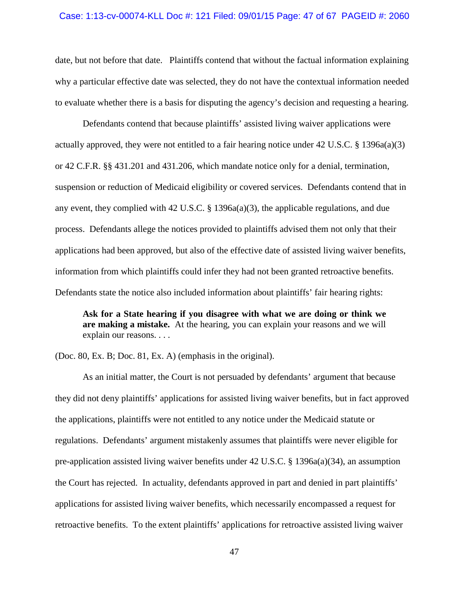## Case: 1:13-cv-00074-KLL Doc #: 121 Filed: 09/01/15 Page: 47 of 67 PAGEID #: 2060

date, but not before that date. Plaintiffs contend that without the factual information explaining why a particular effective date was selected, they do not have the contextual information needed to evaluate whether there is a basis for disputing the agency's decision and requesting a hearing.

Defendants contend that because plaintiffs' assisted living waiver applications were actually approved, they were not entitled to a fair hearing notice under 42 U.S.C. § 1396a(a)(3) or 42 C.F.R. §§ 431.201 and 431.206, which mandate notice only for a denial, termination, suspension or reduction of Medicaid eligibility or covered services. Defendants contend that in any event, they complied with 42 U.S.C. § 1396a(a)(3), the applicable regulations, and due process. Defendants allege the notices provided to plaintiffs advised them not only that their applications had been approved, but also of the effective date of assisted living waiver benefits, information from which plaintiffs could infer they had not been granted retroactive benefits. Defendants state the notice also included information about plaintiffs' fair hearing rights:

**Ask for a State hearing if you disagree with what we are doing or think we are making a mistake.** At the hearing, you can explain your reasons and we will explain our reasons. . . .

(Doc. 80, Ex. B; Doc. 81, Ex. A) (emphasis in the original).

As an initial matter, the Court is not persuaded by defendants' argument that because they did not deny plaintiffs' applications for assisted living waiver benefits, but in fact approved the applications, plaintiffs were not entitled to any notice under the Medicaid statute or regulations. Defendants' argument mistakenly assumes that plaintiffs were never eligible for pre-application assisted living waiver benefits under 42 U.S.C. § 1396a(a)(34), an assumption the Court has rejected. In actuality, defendants approved in part and denied in part plaintiffs' applications for assisted living waiver benefits, which necessarily encompassed a request for retroactive benefits. To the extent plaintiffs' applications for retroactive assisted living waiver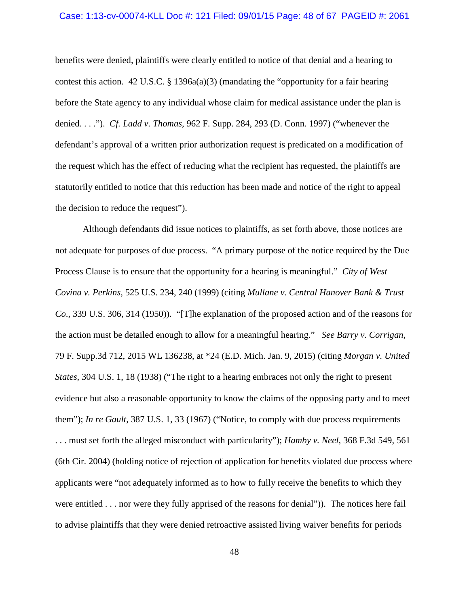#### Case: 1:13-cv-00074-KLL Doc #: 121 Filed: 09/01/15 Page: 48 of 67 PAGEID #: 2061

benefits were denied, plaintiffs were clearly entitled to notice of that denial and a hearing to contest this action.  $42 \text{ U.S.C.}$  §  $1396a(a)(3)$  (mandating the "opportunity for a fair hearing before the State agency to any individual whose claim for medical assistance under the plan is denied. . . ."). *Cf. Ladd v. Thomas*, 962 F. Supp. 284, 293 (D. Conn. 1997) ("whenever the defendant's approval of a written prior authorization request is predicated on a modification of the request which has the effect of reducing what the recipient has requested, the plaintiffs are statutorily entitled to notice that this reduction has been made and notice of the right to appeal the decision to reduce the request").

Although defendants did issue notices to plaintiffs, as set forth above, those notices are not adequate for purposes of due process. "A primary purpose of the notice required by the Due Process Clause is to ensure that the opportunity for a hearing is meaningful." *City of West Covina v. Perkins*, 525 U.S. 234, 240 (1999) (citing *Mullane v. Central Hanover Bank & Trust Co*., 339 U.S. 306, 314 (1950)). "[T]he explanation of the proposed action and of the reasons for the action must be detailed enough to allow for a meaningful hearing." *See Barry v. Corrigan*, 79 F. Supp.3d 712, 2015 WL 136238, at \*24 (E.D. Mich. Jan. 9, 2015) (citing *Morgan v. United States*, 304 U.S. 1, 18 (1938) ("The right to a hearing embraces not only the right to present evidence but also a reasonable opportunity to know the claims of the opposing party and to meet them"); *In re Gault*, 387 U.S. 1, 33 (1967) ("Notice, to comply with due process requirements . . . must set forth the alleged misconduct with particularity"); *Hamby v. Neel*, 368 F.3d 549, 561 (6th Cir. 2004) (holding notice of rejection of application for benefits violated due process where applicants were "not adequately informed as to how to fully receive the benefits to which they were entitled . . . nor were they fully apprised of the reasons for denial")). The notices here fail to advise plaintiffs that they were denied retroactive assisted living waiver benefits for periods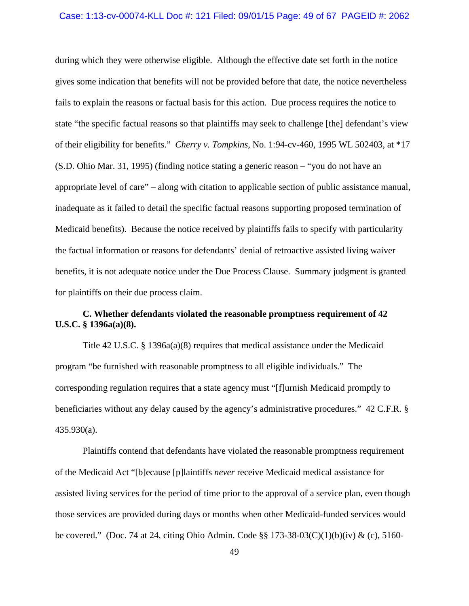#### Case: 1:13-cv-00074-KLL Doc #: 121 Filed: 09/01/15 Page: 49 of 67 PAGEID #: 2062

during which they were otherwise eligible. Although the effective date set forth in the notice gives some indication that benefits will not be provided before that date, the notice nevertheless fails to explain the reasons or factual basis for this action. Due process requires the notice to state "the specific factual reasons so that plaintiffs may seek to challenge [the] defendant's view of their eligibility for benefits." *Cherry v. Tompkins*, No. 1:94-cv-460, 1995 WL 502403, at \*17 (S.D. Ohio Mar. 31, 1995) (finding notice stating a generic reason – "you do not have an appropriate level of care" – along with citation to applicable section of public assistance manual, inadequate as it failed to detail the specific factual reasons supporting proposed termination of Medicaid benefits). Because the notice received by plaintiffs fails to specify with particularity the factual information or reasons for defendants' denial of retroactive assisted living waiver benefits, it is not adequate notice under the Due Process Clause. Summary judgment is granted for plaintiffs on their due process claim.

# **C. Whether defendants violated the reasonable promptness requirement of 42 U.S.C. § 1396a(a)(8).**

Title 42 U.S.C. § 1396a(a)(8) requires that medical assistance under the Medicaid program "be furnished with reasonable promptness to all eligible individuals." The corresponding regulation requires that a state agency must "[f]urnish Medicaid promptly to beneficiaries without any delay caused by the agency's administrative procedures." 42 C.F.R. § 435.930(a).

Plaintiffs contend that defendants have violated the reasonable promptness requirement of the Medicaid Act "[b]ecause [p]laintiffs *never* receive Medicaid medical assistance for assisted living services for the period of time prior to the approval of a service plan, even though those services are provided during days or months when other Medicaid-funded services would be covered." (Doc. 74 at 24, citing Ohio Admin. Code §§ 173-38-03(C)(1)(b)(iv) & (c), 5160-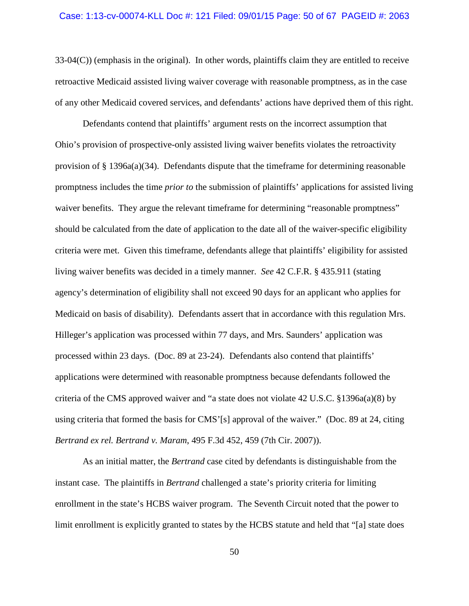### Case: 1:13-cv-00074-KLL Doc #: 121 Filed: 09/01/15 Page: 50 of 67 PAGEID #: 2063

33-04(C)) (emphasis in the original). In other words, plaintiffs claim they are entitled to receive retroactive Medicaid assisted living waiver coverage with reasonable promptness, as in the case of any other Medicaid covered services, and defendants' actions have deprived them of this right.

Defendants contend that plaintiffs' argument rests on the incorrect assumption that Ohio's provision of prospective-only assisted living waiver benefits violates the retroactivity provision of  $\S$  1396a(a)(34). Defendants dispute that the timeframe for determining reasonable promptness includes the time *prior to* the submission of plaintiffs' applications for assisted living waiver benefits. They argue the relevant timeframe for determining "reasonable promptness" should be calculated from the date of application to the date all of the waiver-specific eligibility criteria were met. Given this timeframe, defendants allege that plaintiffs' eligibility for assisted living waiver benefits was decided in a timely manner. *See* 42 C.F.R. § 435.911 (stating agency's determination of eligibility shall not exceed 90 days for an applicant who applies for Medicaid on basis of disability). Defendants assert that in accordance with this regulation Mrs. Hilleger's application was processed within 77 days, and Mrs. Saunders' application was processed within 23 days. (Doc. 89 at 23-24). Defendants also contend that plaintiffs' applications were determined with reasonable promptness because defendants followed the criteria of the CMS approved waiver and "a state does not violate 42 U.S.C. §1396a(a)(8) by using criteria that formed the basis for CMS'[s] approval of the waiver." (Doc. 89 at 24, citing *Bertrand ex rel. Bertrand v. Maram*, 495 F.3d 452, 459 (7th Cir. 2007)).

As an initial matter, the *Bertrand* case cited by defendants is distinguishable from the instant case. The plaintiffs in *Bertrand* challenged a state's priority criteria for limiting enrollment in the state's HCBS waiver program. The Seventh Circuit noted that the power to limit enrollment is explicitly granted to states by the HCBS statute and held that "[a] state does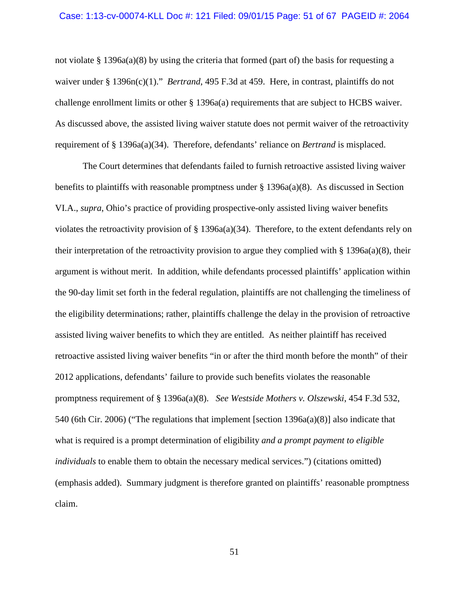#### Case: 1:13-cv-00074-KLL Doc #: 121 Filed: 09/01/15 Page: 51 of 67 PAGEID #: 2064

not violate § 1396a(a)(8) by using the criteria that formed (part of) the basis for requesting a waiver under § 1396n(c)(1)." *Bertrand*, 495 F.3d at 459. Here, in contrast, plaintiffs do not challenge enrollment limits or other § 1396a(a) requirements that are subject to HCBS waiver. As discussed above, the assisted living waiver statute does not permit waiver of the retroactivity requirement of § 1396a(a)(34). Therefore, defendants' reliance on *Bertrand* is misplaced.

The Court determines that defendants failed to furnish retroactive assisted living waiver benefits to plaintiffs with reasonable promptness under  $\S$  1396a(a)(8). As discussed in Section VI.A., *supra*, Ohio's practice of providing prospective-only assisted living waiver benefits violates the retroactivity provision of § 1396a(a)(34). Therefore, to the extent defendants rely on their interpretation of the retroactivity provision to argue they complied with  $\S$  1396a(a)(8), their argument is without merit. In addition, while defendants processed plaintiffs' application within the 90-day limit set forth in the federal regulation, plaintiffs are not challenging the timeliness of the eligibility determinations; rather, plaintiffs challenge the delay in the provision of retroactive assisted living waiver benefits to which they are entitled. As neither plaintiff has received retroactive assisted living waiver benefits "in or after the third month before the month" of their 2012 applications, defendants' failure to provide such benefits violates the reasonable promptness requirement of § 1396a(a)(8). *See Westside Mothers v. Olszewski*, 454 F.3d 532, 540 (6th Cir. 2006) ("The regulations that implement [section 1396a(a)(8)] also indicate that what is required is a prompt determination of eligibility *and a prompt payment to eligible individuals* to enable them to obtain the necessary medical services.") (citations omitted) (emphasis added). Summary judgment is therefore granted on plaintiffs' reasonable promptness claim.

51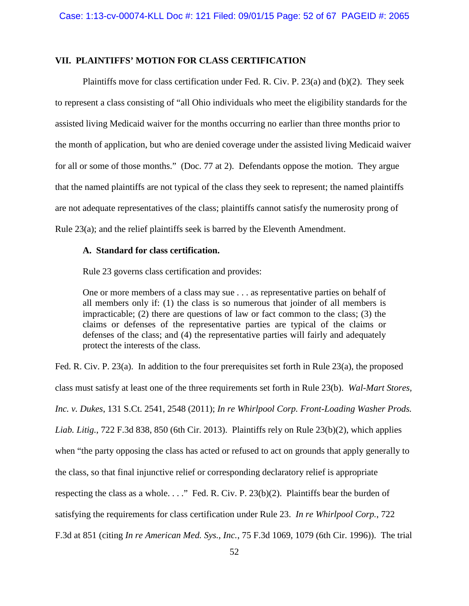# **VII. PLAINTIFFS' MOTION FOR CLASS CERTIFICATION**

Plaintiffs move for class certification under Fed. R. Civ. P. 23(a) and (b)(2). They seek to represent a class consisting of "all Ohio individuals who meet the eligibility standards for the assisted living Medicaid waiver for the months occurring no earlier than three months prior to the month of application, but who are denied coverage under the assisted living Medicaid waiver for all or some of those months." (Doc. 77 at 2). Defendants oppose the motion. They argue that the named plaintiffs are not typical of the class they seek to represent; the named plaintiffs are not adequate representatives of the class; plaintiffs cannot satisfy the numerosity prong of Rule 23(a); and the relief plaintiffs seek is barred by the Eleventh Amendment.

## **A. Standard for class certification.**

Rule 23 governs class certification and provides:

One or more members of a class may sue . . . as representative parties on behalf of all members only if: (1) the class is so numerous that joinder of all members is impracticable; (2) there are questions of law or fact common to the class; (3) the claims or defenses of the representative parties are typical of the claims or defenses of the class; and (4) the representative parties will fairly and adequately protect the interests of the class.

Fed. R. Civ. P. 23(a). In addition to the four prerequisites set forth in Rule 23(a), the proposed class must satisfy at least one of the three requirements set forth in Rule 23(b). *Wal-Mart Stores, Inc. v. Dukes*, 131 S.Ct. 2541, 2548 (2011); *In re Whirlpool Corp. Front-Loading Washer Prods. Liab. Litig.*, 722 F.3d 838, 850 (6th Cir. 2013). Plaintiffs rely on Rule 23(b)(2), which applies when "the party opposing the class has acted or refused to act on grounds that apply generally to the class, so that final injunctive relief or corresponding declaratory relief is appropriate respecting the class as a whole. . . ." Fed. R. Civ. P. 23(b)(2). Plaintiffs bear the burden of satisfying the requirements for class certification under Rule 23. *In re Whirlpool Corp.*, 722 F.3d at 851 (citing *In re American Med. Sys., Inc.*, 75 F.3d 1069, 1079 (6th Cir. 1996)). The trial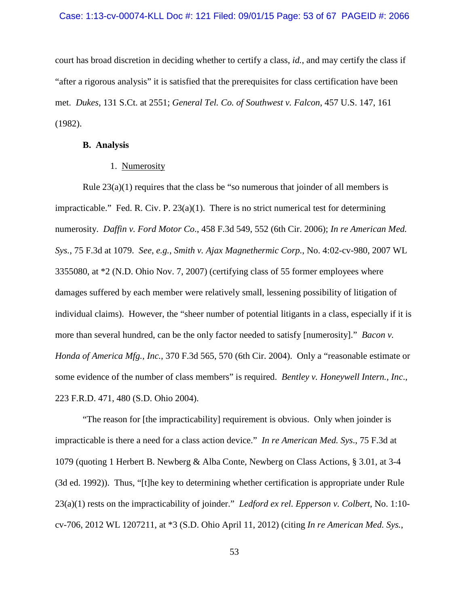## Case: 1:13-cv-00074-KLL Doc #: 121 Filed: 09/01/15 Page: 53 of 67 PAGEID #: 2066

court has broad discretion in deciding whether to certify a class, *id.*, and may certify the class if "after a rigorous analysis" it is satisfied that the prerequisites for class certification have been met. *Dukes*, 131 S.Ct. at 2551; *General Tel. Co. of Southwest v. Falcon*, 457 U.S. 147, 161 (1982).

## **B. Analysis**

# 1. Numerosity

Rule  $23(a)(1)$  requires that the class be "so numerous that joinder of all members is impracticable." Fed. R. Civ. P.  $23(a)(1)$ . There is no strict numerical test for determining numerosity. *Daffin v. Ford Motor Co*., 458 F.3d 549, 552 (6th Cir. 2006); *In re American Med. Sys.*, 75 F.3d at 1079. *See*, *e.g.*, *Smith v. Ajax Magnethermic Corp.*, No. 4:02-cv-980, 2007 WL 3355080, at \*2 (N.D. Ohio Nov. 7, 2007) (certifying class of 55 former employees where damages suffered by each member were relatively small, lessening possibility of litigation of individual claims). However, the "sheer number of potential litigants in a class, especially if it is more than several hundred, can be the only factor needed to satisfy [numerosity]." *Bacon v. Honda of America Mfg., Inc.*, 370 F.3d 565, 570 (6th Cir. 2004). Only a "reasonable estimate or some evidence of the number of class members" is required. *Bentley v. Honeywell Intern., Inc*., 223 F.R.D. 471, 480 (S.D. Ohio 2004).

"The reason for [the impracticability] requirement is obvious. Only when joinder is impracticable is there a need for a class action device." *In re American Med. Sys*., 75 F.3d at 1079 (quoting 1 Herbert B. Newberg & Alba Conte, Newberg on Class Actions, § 3.01, at 3-4 (3d ed. 1992)). Thus, "[t]he key to determining whether certification is appropriate under Rule 23(a)(1) rests on the impracticability of joinder." *Ledford ex rel. Epperson v. Colbert*, No. 1:10 cv-706, 2012 WL 1207211, at \*3 (S.D. Ohio April 11, 2012) (citing *In re American Med. Sys.*,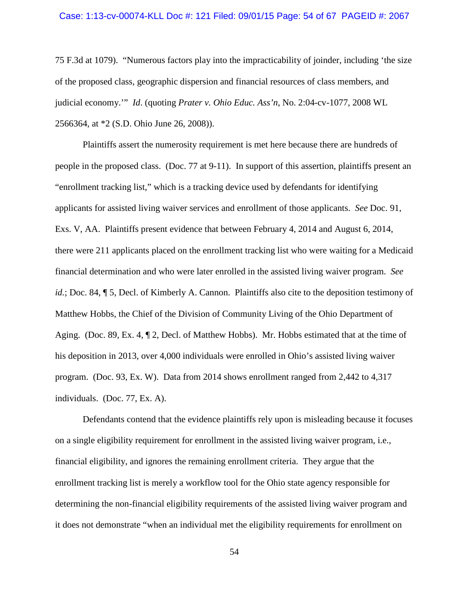#### Case: 1:13-cv-00074-KLL Doc #: 121 Filed: 09/01/15 Page: 54 of 67 PAGEID #: 2067

75 F.3d at 1079). "Numerous factors play into the impracticability of joinder, including 'the size of the proposed class, geographic dispersion and financial resources of class members, and judicial economy.'" *Id*. (quoting *Prater v. Ohio Educ. Ass'n*, No. 2:04-cv-1077, 2008 WL 2566364, at \*2 (S.D. Ohio June 26, 2008)).

Plaintiffs assert the numerosity requirement is met here because there are hundreds of people in the proposed class. (Doc. 77 at 9-11). In support of this assertion, plaintiffs present an "enrollment tracking list," which is a tracking device used by defendants for identifying applicants for assisted living waiver services and enrollment of those applicants. *See* Doc. 91, Exs. V, AA.Plaintiffs present evidence that between February 4, 2014 and August 6, 2014, there were 211 applicants placed on the enrollment tracking list who were waiting for a Medicaid financial determination and who were later enrolled in the assisted living waiver program. *See id.*; Doc. 84, ¶ 5, Decl. of Kimberly A. Cannon. Plaintiffs also cite to the deposition testimony of Matthew Hobbs, the Chief of the Division of Community Living of the Ohio Department of Aging. (Doc. 89, Ex. 4, ¶ 2, Decl. of Matthew Hobbs). Mr. Hobbs estimated that at the time of his deposition in 2013, over 4,000 individuals were enrolled in Ohio's assisted living waiver program. (Doc. 93, Ex. W). Data from 2014 shows enrollment ranged from 2,442 to 4,317 individuals. (Doc. 77, Ex. A).

Defendants contend that the evidence plaintiffs rely upon is misleading because it focuses on a single eligibility requirement for enrollment in the assisted living waiver program, i.e., financial eligibility, and ignores the remaining enrollment criteria. They argue that the enrollment tracking list is merely a workflow tool for the Ohio state agency responsible for determining the non-financial eligibility requirements of the assisted living waiver program and it does not demonstrate "when an individual met the eligibility requirements for enrollment on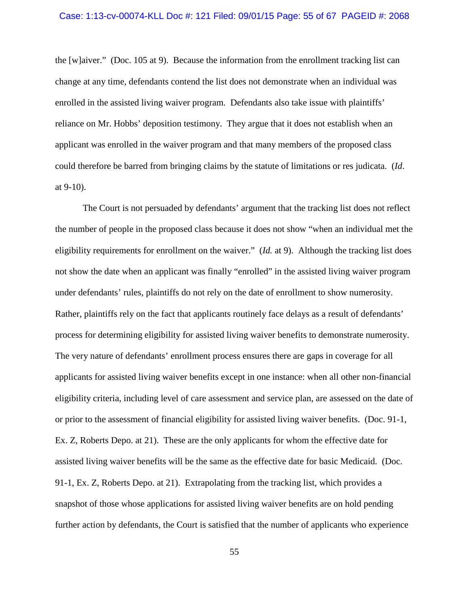### Case: 1:13-cv-00074-KLL Doc #: 121 Filed: 09/01/15 Page: 55 of 67 PAGEID #: 2068

the [w]aiver." (Doc. 105 at 9). Because the information from the enrollment tracking list can change at any time, defendants contend the list does not demonstrate when an individual was enrolled in the assisted living waiver program. Defendants also take issue with plaintiffs' reliance on Mr. Hobbs' deposition testimony. They argue that it does not establish when an applicant was enrolled in the waiver program and that many members of the proposed class could therefore be barred from bringing claims by the statute of limitations or res judicata. (*Id*. at 9-10).

The Court is not persuaded by defendants' argument that the tracking list does not reflect the number of people in the proposed class because it does not show "when an individual met the eligibility requirements for enrollment on the waiver." (*Id.* at 9). Although the tracking list does not show the date when an applicant was finally "enrolled" in the assisted living waiver program under defendants' rules, plaintiffs do not rely on the date of enrollment to show numerosity. Rather, plaintiffs rely on the fact that applicants routinely face delays as a result of defendants' process for determining eligibility for assisted living waiver benefits to demonstrate numerosity. The very nature of defendants' enrollment process ensures there are gaps in coverage for all applicants for assisted living waiver benefits except in one instance: when all other non-financial eligibility criteria, including level of care assessment and service plan, are assessed on the date of or prior to the assessment of financial eligibility for assisted living waiver benefits. (Doc. 91-1, Ex. Z, Roberts Depo. at 21). These are the only applicants for whom the effective date for assisted living waiver benefits will be the same as the effective date for basic Medicaid. (Doc. 91-1, Ex. Z, Roberts Depo. at 21). Extrapolating from the tracking list, which provides a snapshot of those whose applications for assisted living waiver benefits are on hold pending further action by defendants, the Court is satisfied that the number of applicants who experience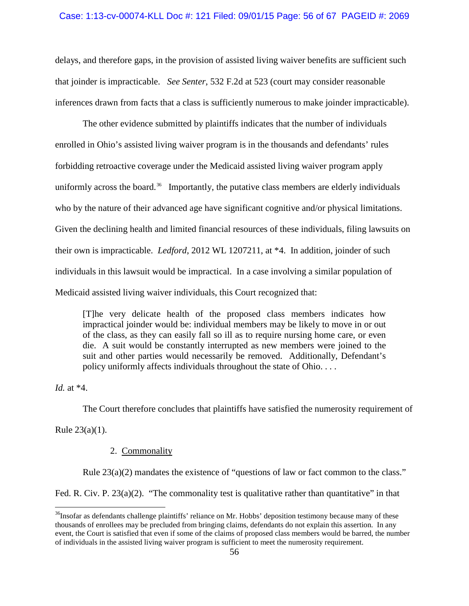## Case: 1:13-cv-00074-KLL Doc #: 121 Filed: 09/01/15 Page: 56 of 67 PAGEID #: 2069

delays, and therefore gaps, in the provision of assisted living waiver benefits are sufficient such that joinder is impracticable. *See Senter*, 532 F.2d at 523 (court may consider reasonable inferences drawn from facts that a class is sufficiently numerous to make joinder impracticable).

The other evidence submitted by plaintiffs indicates that the number of individuals enrolled in Ohio's assisted living waiver program is in the thousands and defendants' rules forbidding retroactive coverage under the Medicaid assisted living waiver program apply uniformly across the board.<sup>[36](#page-55-0)</sup> Importantly, the putative class members are elderly individuals who by the nature of their advanced age have significant cognitive and/or physical limitations. Given the declining health and limited financial resources of these individuals, filing lawsuits on their own is impracticable. *Ledford*, 2012 WL 1207211, at \*4. In addition, joinder of such individuals in this lawsuit would be impractical. In a case involving a similar population of Medicaid assisted living waiver individuals, this Court recognized that:

[T]he very delicate health of the proposed class members indicates how impractical joinder would be: individual members may be likely to move in or out of the class, as they can easily fall so ill as to require nursing home care, or even die. A suit would be constantly interrupted as new members were joined to the suit and other parties would necessarily be removed. Additionally, Defendant's policy uniformly affects individuals throughout the state of Ohio. . . .

*Id.* at \*4.

The Court therefore concludes that plaintiffs have satisfied the numerosity requirement of

Rule 23(a)(1).

# 2. Commonality

Rule 23(a)(2) mandates the existence of "questions of law or fact common to the class."

Fed. R. Civ. P. 23(a)(2). "The commonality test is qualitative rather than quantitative" in that

<span id="page-55-0"></span> $36$ Insofar as defendants challenge plaintiffs' reliance on Mr. Hobbs' deposition testimony because many of these thousands of enrollees may be precluded from bringing claims, defendants do not explain this assertion. In any event, the Court is satisfied that even if some of the claims of proposed class members would be barred, the number of individuals in the assisted living waiver program is sufficient to meet the numerosity requirement.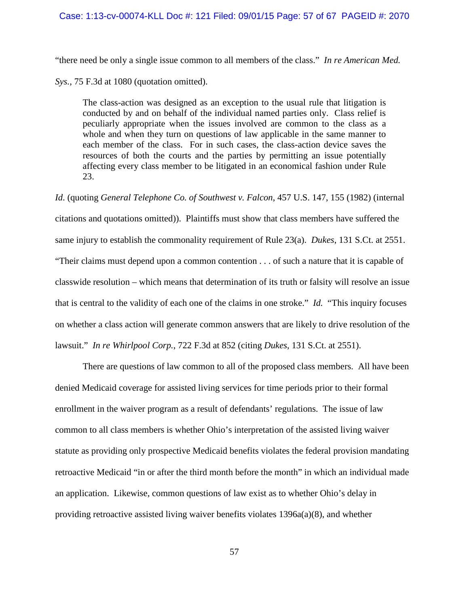### Case: 1:13-cv-00074-KLL Doc #: 121 Filed: 09/01/15 Page: 57 of 67 PAGEID #: 2070

"there need be only a single issue common to all members of the class." *In re American Med.* 

*Sys.*, 75 F.3d at 1080 (quotation omitted).

The class-action was designed as an exception to the usual rule that litigation is conducted by and on behalf of the individual named parties only. Class relief is peculiarly appropriate when the issues involved are common to the class as a whole and when they turn on questions of law applicable in the same manner to each member of the class. For in such cases, the class-action device saves the resources of both the courts and the parties by permitting an issue potentially affecting every class member to be litigated in an economical fashion under Rule 23.

*Id*. (quoting *General Telephone Co. of Southwest v. Falcon*, 457 U.S. 147, 155 (1982) (internal citations and quotations omitted)). Plaintiffs must show that class members have suffered the same injury to establish the commonality requirement of Rule 23(a). *Dukes*, 131 S.Ct. at 2551. "Their claims must depend upon a common contention . . . of such a nature that it is capable of classwide resolution – which means that determination of its truth or falsity will resolve an issue that is central to the validity of each one of the claims in one stroke." *Id.* "This inquiry focuses on whether a class action will generate common answers that are likely to drive resolution of the lawsuit." *In re Whirlpool Corp.*, 722 F.3d at 852 (citing *Dukes*, 131 S.Ct. at 2551).

There are questions of law common to all of the proposed class members. All have been denied Medicaid coverage for assisted living services for time periods prior to their formal enrollment in the waiver program as a result of defendants' regulations. The issue of law common to all class members is whether Ohio's interpretation of the assisted living waiver statute as providing only prospective Medicaid benefits violates the federal provision mandating retroactive Medicaid "in or after the third month before the month" in which an individual made an application. Likewise, common questions of law exist as to whether Ohio's delay in providing retroactive assisted living waiver benefits violates  $1396a(a)(8)$ , and whether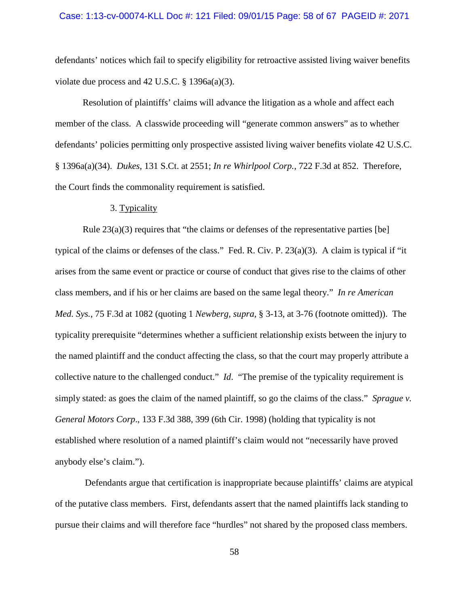defendants' notices which fail to specify eligibility for retroactive assisted living waiver benefits violate due process and 42 U.S.C. § 1396a(a)(3).

Resolution of plaintiffs' claims will advance the litigation as a whole and affect each member of the class. A classwide proceeding will "generate common answers" as to whether defendants' policies permitting only prospective assisted living waiver benefits violate 42 U.S.C. § 1396a(a)(34). *Dukes*, 131 S.Ct. at 2551; *In re Whirlpool Corp.*, 722 F.3d at 852. Therefore, the Court finds the commonality requirement is satisfied.

## 3. Typicality

Rule  $23(a)(3)$  requires that "the claims or defenses of the representative parties [be] typical of the claims or defenses of the class." Fed. R. Civ. P. 23(a)(3). A claim is typical if "it arises from the same event or practice or course of conduct that gives rise to the claims of other class members, and if his or her claims are based on the same legal theory." *In re American Med. Sys.*, 75 F.3d at 1082 (quoting 1 *Newberg, supra,* § 3-13, at 3-76 (footnote omitted)). The typicality prerequisite "determines whether a sufficient relationship exists between the injury to the named plaintiff and the conduct affecting the class, so that the court may properly attribute a collective nature to the challenged conduct." *Id*. "The premise of the typicality requirement is simply stated: as goes the claim of the named plaintiff, so go the claims of the class." *Sprague v. General Motors Corp*., 133 F.3d 388, 399 (6th Cir. 1998) (holding that typicality is not established where resolution of a named plaintiff's claim would not "necessarily have proved anybody else's claim.").

Defendants argue that certification is inappropriate because plaintiffs' claims are atypical of the putative class members. First, defendants assert that the named plaintiffs lack standing to pursue their claims and will therefore face "hurdles" not shared by the proposed class members.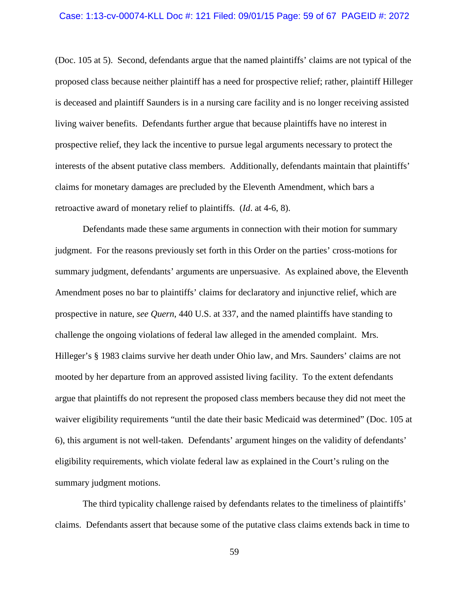#### Case: 1:13-cv-00074-KLL Doc #: 121 Filed: 09/01/15 Page: 59 of 67 PAGEID #: 2072

(Doc. 105 at 5). Second, defendants argue that the named plaintiffs' claims are not typical of the proposed class because neither plaintiff has a need for prospective relief; rather, plaintiff Hilleger is deceased and plaintiff Saunders is in a nursing care facility and is no longer receiving assisted living waiver benefits. Defendants further argue that because plaintiffs have no interest in prospective relief, they lack the incentive to pursue legal arguments necessary to protect the interests of the absent putative class members. Additionally, defendants maintain that plaintiffs' claims for monetary damages are precluded by the Eleventh Amendment, which bars a retroactive award of monetary relief to plaintiffs. (*Id*. at 4-6, 8).

Defendants made these same arguments in connection with their motion for summary judgment. For the reasons previously set forth in this Order on the parties' cross-motions for summary judgment, defendants' arguments are unpersuasive. As explained above, the Eleventh Amendment poses no bar to plaintiffs' claims for declaratory and injunctive relief, which are prospective in nature, *see Quern*, 440 U.S. at 337, and the named plaintiffs have standing to challenge the ongoing violations of federal law alleged in the amended complaint. Mrs. Hilleger's § 1983 claims survive her death under Ohio law, and Mrs. Saunders' claims are not mooted by her departure from an approved assisted living facility. To the extent defendants argue that plaintiffs do not represent the proposed class members because they did not meet the waiver eligibility requirements "until the date their basic Medicaid was determined" (Doc. 105 at 6), this argument is not well-taken. Defendants' argument hinges on the validity of defendants' eligibility requirements, which violate federal law as explained in the Court's ruling on the summary judgment motions.

The third typicality challenge raised by defendants relates to the timeliness of plaintiffs' claims. Defendants assert that because some of the putative class claims extends back in time to

59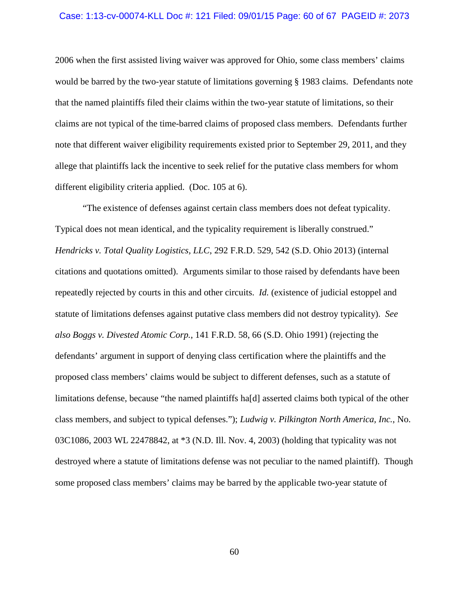#### Case: 1:13-cv-00074-KLL Doc #: 121 Filed: 09/01/15 Page: 60 of 67 PAGEID #: 2073

2006 when the first assisted living waiver was approved for Ohio, some class members' claims would be barred by the two-year statute of limitations governing § 1983 claims. Defendants note that the named plaintiffs filed their claims within the two-year statute of limitations, so their claims are not typical of the time-barred claims of proposed class members. Defendants further note that different waiver eligibility requirements existed prior to September 29, 2011, and they allege that plaintiffs lack the incentive to seek relief for the putative class members for whom different eligibility criteria applied. (Doc. 105 at 6).

"The existence of defenses against certain class members does not defeat typicality. Typical does not mean identical, and the typicality requirement is liberally construed." *Hendricks v. Total Quality Logistics, LLC*, 292 F.R.D. 529, 542 (S.D. Ohio 2013) (internal citations and quotations omitted). Arguments similar to those raised by defendants have been repeatedly rejected by courts in this and other circuits. *Id.* (existence of judicial estoppel and statute of limitations defenses against putative class members did not destroy typicality). *See also Boggs v. Divested Atomic Corp.*, 141 F.R.D. 58, 66 (S.D. Ohio 1991) (rejecting the defendants' argument in support of denying class certification where the plaintiffs and the proposed class members' claims would be subject to different defenses, such as a statute of limitations defense, because "the named plaintiffs ha[d] asserted claims both typical of the other class members, and subject to typical defenses."); *Ludwig v. Pilkington North America, Inc.*, No. 03C1086, 2003 WL 22478842, at \*3 (N.D. Ill. Nov. 4, 2003) (holding that typicality was not destroyed where a statute of limitations defense was not peculiar to the named plaintiff). Though some proposed class members' claims may be barred by the applicable two-year statute of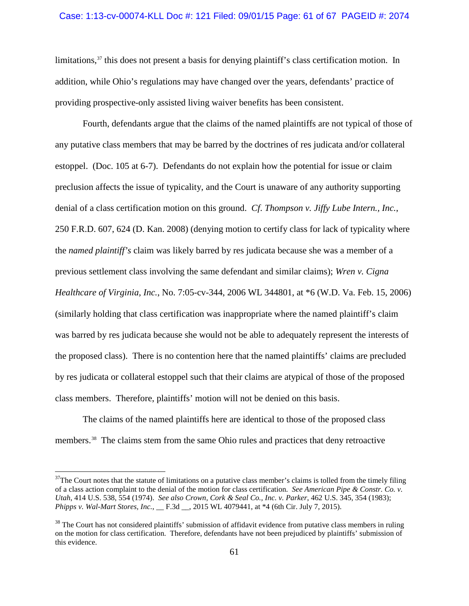## Case: 1:13-cv-00074-KLL Doc #: 121 Filed: 09/01/15 Page: 61 of 67 PAGEID #: 2074

limitations,  $37$  this does not present a basis for denying plaintiff's class certification motion. In addition, while Ohio's regulations may have changed over the years, defendants' practice of providing prospective-only assisted living waiver benefits has been consistent.

Fourth, defendants argue that the claims of the named plaintiffs are not typical of those of any putative class members that may be barred by the doctrines of res judicata and/or collateral estoppel. (Doc. 105 at 6-7). Defendants do not explain how the potential for issue or claim preclusion affects the issue of typicality, and the Court is unaware of any authority supporting denial of a class certification motion on this ground. *Cf*. *Thompson v. Jiffy Lube Intern., Inc.*, 250 F.R.D. 607, 624 (D. Kan. 2008) (denying motion to certify class for lack of typicality where the *named plaintiff's* claim was likely barred by res judicata because she was a member of a previous settlement class involving the same defendant and similar claims); *Wren v. Cigna Healthcare of Virginia, Inc.*, No. 7:05-cv-344, 2006 WL 344801, at \*6 (W.D. Va. Feb. 15, 2006) (similarly holding that class certification was inappropriate where the named plaintiff's claim was barred by res judicata because she would not be able to adequately represent the interests of the proposed class). There is no contention here that the named plaintiffs' claims are precluded by res judicata or collateral estoppel such that their claims are atypical of those of the proposed class members. Therefore, plaintiffs' motion will not be denied on this basis.

The claims of the named plaintiffs here are identical to those of the proposed class members.<sup>[38](#page-60-1)</sup> The claims stem from the same Ohio rules and practices that deny retroactive

<span id="page-60-0"></span> $37$ The Court notes that the statute of limitations on a putative class member's claims is tolled from the timely filing of a class action complaint to the denial of the motion for class certification. *See American Pipe & Constr. Co. v. Utah*, 414 U.S. 538, 554 (1974). *See also Crown, Cork & Seal Co., Inc. v. Parker*, 462 U.S. 345, 354 (1983); *Phipps v. Wal-Mart Stores, Inc.*, \_\_ F.3d \_\_, 2015 WL 4079441, at \*4 (6th Cir. July 7, 2015).

<span id="page-60-1"></span> $38$  The Court has not considered plaintiffs' submission of affidavit evidence from putative class members in ruling on the motion for class certification. Therefore, defendants have not been prejudiced by plaintiffs' submission of this evidence.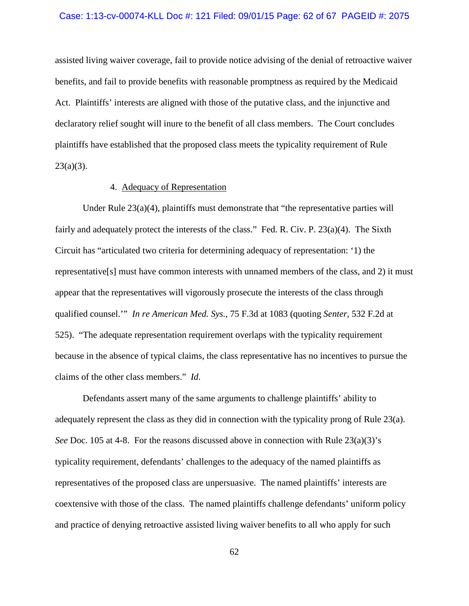## Case: 1:13-cv-00074-KLL Doc #: 121 Filed: 09/01/15 Page: 62 of 67 PAGEID #: 2075

assisted living waiver coverage, fail to provide notice advising of the denial of retroactive waiver benefits, and fail to provide benefits with reasonable promptness as required by the Medicaid Act. Plaintiffs' interests are aligned with those of the putative class, and the injunctive and declaratory relief sought will inure to the benefit of all class members. The Court concludes plaintiffs have established that the proposed class meets the typicality requirement of Rule  $23(a)(3)$ .

# 4. Adequacy of Representation

Under Rule  $23(a)(4)$ , plaintiffs must demonstrate that "the representative parties will fairly and adequately protect the interests of the class." Fed. R. Civ. P. 23(a)(4). The Sixth Circuit has "articulated two criteria for determining adequacy of representation: '1) the representative[s] must have common interests with unnamed members of the class, and 2) it must appear that the representatives will vigorously prosecute the interests of the class through qualified counsel.'" *In re American Med. Sys.*, 75 F.3d at 1083 (quoting *Senter*, 532 F.2d at 525). "The adequate representation requirement overlaps with the typicality requirement because in the absence of typical claims, the class representative has no incentives to pursue the claims of the other class members." *Id*.

Defendants assert many of the same arguments to challenge plaintiffs' ability to adequately represent the class as they did in connection with the typicality prong of Rule 23(a). *See* Doc. 105 at 4-8. For the reasons discussed above in connection with Rule 23(a)(3)'s typicality requirement, defendants' challenges to the adequacy of the named plaintiffs as representatives of the proposed class are unpersuasive. The named plaintiffs' interests are coextensive with those of the class. The named plaintiffs challenge defendants' uniform policy and practice of denying retroactive assisted living waiver benefits to all who apply for such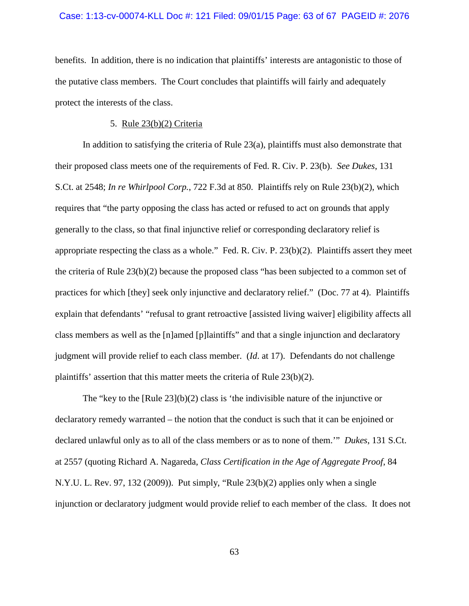#### Case: 1:13-cv-00074-KLL Doc #: 121 Filed: 09/01/15 Page: 63 of 67 PAGEID #: 2076

benefits. In addition, there is no indication that plaintiffs' interests are antagonistic to those of the putative class members. The Court concludes that plaintiffs will fairly and adequately protect the interests of the class.

## 5. Rule 23(b)(2) Criteria

In addition to satisfying the criteria of Rule 23(a), plaintiffs must also demonstrate that their proposed class meets one of the requirements of Fed. R. Civ. P. 23(b). *See Dukes*, 131 S.Ct. at 2548; *In re Whirlpool Corp.*, 722 F.3d at 850. Plaintiffs rely on Rule 23(b)(2), which requires that "the party opposing the class has acted or refused to act on grounds that apply generally to the class, so that final injunctive relief or corresponding declaratory relief is appropriate respecting the class as a whole." Fed. R. Civ. P. 23(b)(2). Plaintiffs assert they meet the criteria of Rule 23(b)(2) because the proposed class "has been subjected to a common set of practices for which [they] seek only injunctive and declaratory relief." (Doc. 77 at 4). Plaintiffs explain that defendants' "refusal to grant retroactive [assisted living waiver] eligibility affects all class members as well as the [n]amed [p]laintiffs" and that a single injunction and declaratory judgment will provide relief to each class member. (*Id*. at 17). Defendants do not challenge plaintiffs' assertion that this matter meets the criteria of Rule 23(b)(2).

The "key to the  $\lceil \text{Rule } 23 \rceil(b)(2)$  class is 'the indivisible nature of the injunctive or declaratory remedy warranted – the notion that the conduct is such that it can be enjoined or declared unlawful only as to all of the class members or as to none of them.'" *Dukes*, 131 S.Ct. at 2557 (quoting Richard A. Nagareda, *Class Certification in the Age of Aggregate Proof*, 84 N.Y.U. L. Rev. 97, 132 (2009)). Put simply, "Rule 23(b)(2) applies only when a single injunction or declaratory judgment would provide relief to each member of the class. It does not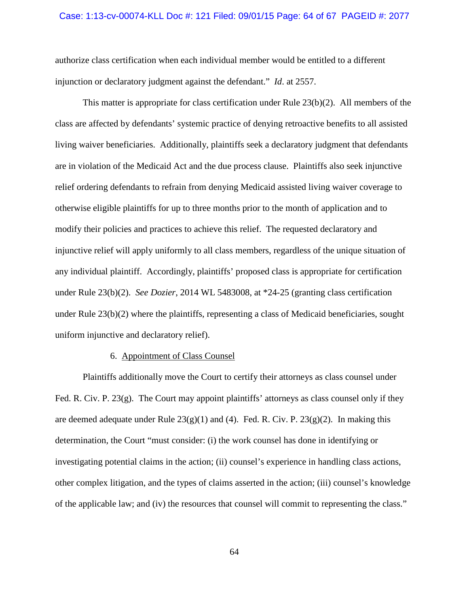#### Case: 1:13-cv-00074-KLL Doc #: 121 Filed: 09/01/15 Page: 64 of 67 PAGEID #: 2077

authorize class certification when each individual member would be entitled to a different injunction or declaratory judgment against the defendant." *Id*. at 2557.

This matter is appropriate for class certification under Rule 23(b)(2). All members of the class are affected by defendants' systemic practice of denying retroactive benefits to all assisted living waiver beneficiaries. Additionally, plaintiffs seek a declaratory judgment that defendants are in violation of the Medicaid Act and the due process clause. Plaintiffs also seek injunctive relief ordering defendants to refrain from denying Medicaid assisted living waiver coverage to otherwise eligible plaintiffs for up to three months prior to the month of application and to modify their policies and practices to achieve this relief. The requested declaratory and injunctive relief will apply uniformly to all class members, regardless of the unique situation of any individual plaintiff. Accordingly, plaintiffs' proposed class is appropriate for certification under Rule 23(b)(2). *See Dozier*, 2014 WL 5483008, at \*24-25 (granting class certification under Rule 23(b)(2) where the plaintiffs, representing a class of Medicaid beneficiaries, sought uniform injunctive and declaratory relief).

## 6. Appointment of Class Counsel

Plaintiffs additionally move the Court to certify their attorneys as class counsel under Fed. R. Civ. P. 23(g). The Court may appoint plaintiffs' attorneys as class counsel only if they are deemed adequate under Rule  $23(g)(1)$  and (4). Fed. R. Civ. P.  $23(g)(2)$ . In making this determination, the Court "must consider: (i) the work counsel has done in identifying or investigating potential claims in the action; (ii) counsel's experience in handling class actions, other complex litigation, and the types of claims asserted in the action; (iii) counsel's knowledge of the applicable law; and (iv) the resources that counsel will commit to representing the class."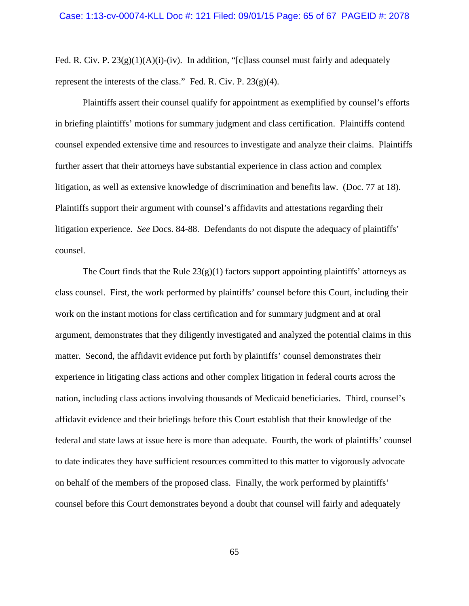Fed. R. Civ. P.  $23(g)(1)(A)(i)$ -(iv). In addition, "[c] lass counsel must fairly and adequately represent the interests of the class." Fed. R. Civ. P.  $23(g)(4)$ .

Plaintiffs assert their counsel qualify for appointment as exemplified by counsel's efforts in briefing plaintiffs' motions for summary judgment and class certification. Plaintiffs contend counsel expended extensive time and resources to investigate and analyze their claims. Plaintiffs further assert that their attorneys have substantial experience in class action and complex litigation, as well as extensive knowledge of discrimination and benefits law. (Doc. 77 at 18). Plaintiffs support their argument with counsel's affidavits and attestations regarding their litigation experience. *See* Docs. 84-88. Defendants do not dispute the adequacy of plaintiffs' counsel.

The Court finds that the Rule  $23(g)(1)$  factors support appointing plaintiffs' attorneys as class counsel. First, the work performed by plaintiffs' counsel before this Court, including their work on the instant motions for class certification and for summary judgment and at oral argument, demonstrates that they diligently investigated and analyzed the potential claims in this matter. Second, the affidavit evidence put forth by plaintiffs' counsel demonstrates their experience in litigating class actions and other complex litigation in federal courts across the nation, including class actions involving thousands of Medicaid beneficiaries. Third, counsel's affidavit evidence and their briefings before this Court establish that their knowledge of the federal and state laws at issue here is more than adequate. Fourth, the work of plaintiffs' counsel to date indicates they have sufficient resources committed to this matter to vigorously advocate on behalf of the members of the proposed class. Finally, the work performed by plaintiffs' counsel before this Court demonstrates beyond a doubt that counsel will fairly and adequately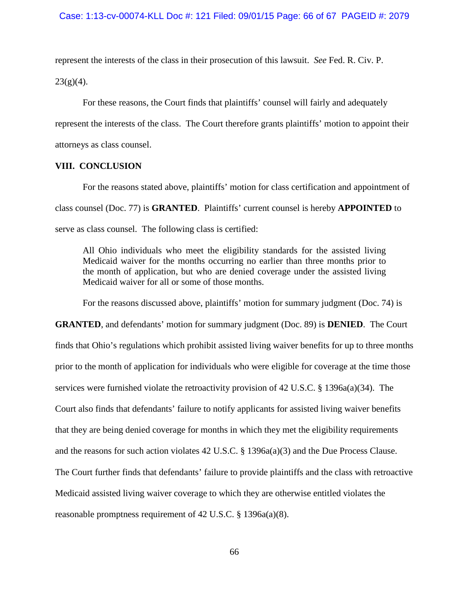represent the interests of the class in their prosecution of this lawsuit. *See* Fed. R. Civ. P.  $23(g)(4)$ .

For these reasons, the Court finds that plaintiffs' counsel will fairly and adequately represent the interests of the class. The Court therefore grants plaintiffs' motion to appoint their attorneys as class counsel.

## **VIII. CONCLUSION**

For the reasons stated above, plaintiffs' motion for class certification and appointment of class counsel (Doc. 77) is **GRANTED**. Plaintiffs' current counsel is hereby **APPOINTED** to serve as class counsel. The following class is certified:

All Ohio individuals who meet the eligibility standards for the assisted living Medicaid waiver for the months occurring no earlier than three months prior to the month of application, but who are denied coverage under the assisted living Medicaid waiver for all or some of those months.

For the reasons discussed above, plaintiffs' motion for summary judgment (Doc. 74) is

**GRANTED**, and defendants' motion for summary judgment (Doc. 89) is **DENIED**. The Court finds that Ohio's regulations which prohibit assisted living waiver benefits for up to three months prior to the month of application for individuals who were eligible for coverage at the time those services were furnished violate the retroactivity provision of 42 U.S.C. § 1396a(a)(34). The Court also finds that defendants' failure to notify applicants for assisted living waiver benefits that they are being denied coverage for months in which they met the eligibility requirements and the reasons for such action violates 42 U.S.C. § 1396a(a)(3) and the Due Process Clause. The Court further finds that defendants' failure to provide plaintiffs and the class with retroactive Medicaid assisted living waiver coverage to which they are otherwise entitled violates the reasonable promptness requirement of 42 U.S.C. § 1396a(a)(8).